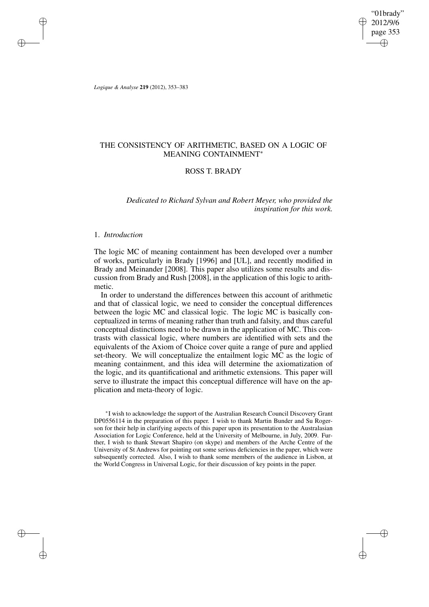"01brady" 2012/9/6 page 353 ✐ ✐

✐

✐

*Logique & Analyse* **219** (2012), 353–383

✐

✐

✐

✐

# THE CONSISTENCY OF ARITHMETIC, BASED ON A LOGIC OF MEANING CONTAINMENT<sup>∗</sup>

# ROSS T. BRADY

*Dedicated to Richard Sylvan and Robert Meyer, who provided the inspiration for this work.*

# 1. *Introduction*

The logic MC of meaning containment has been developed over a number of works, particularly in Brady [1996] and [UL], and recently modified in Brady and Meinander [2008]. This paper also utilizes some results and discussion from Brady and Rush [2008], in the application of this logic to arithmetic.

In order to understand the differences between this account of arithmetic and that of classical logic, we need to consider the conceptual differences between the logic MC and classical logic. The logic MC is basically conceptualized in terms of meaning rather than truth and falsity, and thus careful conceptual distinctions need to be drawn in the application of MC. This contrasts with classical logic, where numbers are identified with sets and the equivalents of the Axiom of Choice cover quite a range of pure and applied set-theory. We will conceptualize the entailment logic MC as the logic of meaning containment, and this idea will determine the axiomatization of the logic, and its quantificational and arithmetic extensions. This paper will serve to illustrate the impact this conceptual difference will have on the application and meta-theory of logic.

∗ I wish to acknowledge the support of the Australian Research Council Discovery Grant DP0556114 in the preparation of this paper. I wish to thank Martin Bunder and Su Rogerson for their help in clarifying aspects of this paper upon its presentation to the Australasian Association for Logic Conference, held at the University of Melbourne, in July, 2009. Further, I wish to thank Stewart Shapiro (on skype) and members of the Arche Centre of the University of St Andrews for pointing out some serious deficiencies in the paper, which were subsequently corrected. Also, I wish to thank some members of the audience in Lisbon, at the World Congress in Universal Logic, for their discussion of key points in the paper.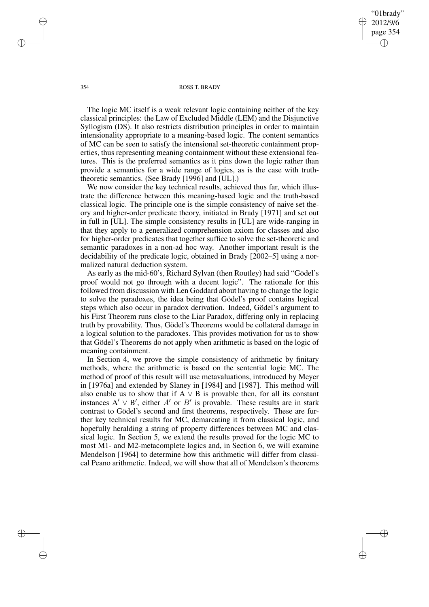2012/9/6 page 354 ✐ ✐

"01brady"

✐

✐

#### 354 ROSS T. BRADY

The logic MC itself is a weak relevant logic containing neither of the key classical principles: the Law of Excluded Middle (LEM) and the Disjunctive Syllogism (DS). It also restricts distribution principles in order to maintain intensionality appropriate to a meaning-based logic. The content semantics of MC can be seen to satisfy the intensional set-theoretic containment properties, thus representing meaning containment without these extensional features. This is the preferred semantics as it pins down the logic rather than provide a semantics for a wide range of logics, as is the case with truththeoretic semantics. (See Brady [1996] and [UL].)

We now consider the key technical results, achieved thus far, which illustrate the difference between this meaning-based logic and the truth-based classical logic. The principle one is the simple consistency of naive set theory and higher-order predicate theory, initiated in Brady [1971] and set out in full in [UL]. The simple consistency results in [UL] are wide-ranging in that they apply to a generalized comprehension axiom for classes and also for higher-order predicates that together suffice to solve the set-theoretic and semantic paradoxes in a non-ad hoc way. Another important result is the decidability of the predicate logic, obtained in Brady [2002–5] using a normalized natural deduction system.

As early as the mid-60's, Richard Sylvan (then Routley) had said "Gödel's proof would not go through with a decent logic". The rationale for this followed from discussion with Len Goddard about having to change the logic to solve the paradoxes, the idea being that Gödel's proof contains logical steps which also occur in paradox derivation. Indeed, Gödel's argument to his First Theorem runs close to the Liar Paradox, differing only in replacing truth by provability. Thus, Gödel's Theorems would be collateral damage in a logical solution to the paradoxes. This provides motivation for us to show that Gödel's Theorems do not apply when arithmetic is based on the logic of meaning containment.

In Section 4, we prove the simple consistency of arithmetic by finitary methods, where the arithmetic is based on the sentential logic MC. The method of proof of this result will use metavaluations, introduced by Meyer in [1976a] and extended by Slaney in [1984] and [1987]. This method will also enable us to show that if  $A \vee B$  is provable then, for all its constant instances  $A' \vee B'$ , either  $A'$  or  $B'$  is provable. These results are in stark contrast to Gödel's second and first theorems, respectively. These are further key technical results for MC, demarcating it from classical logic, and hopefully heralding a string of property differences between MC and classical logic. In Section 5, we extend the results proved for the logic MC to most M1- and M2-metacomplete logics and, in Section 6, we will examine Mendelson [1964] to determine how this arithmetic will differ from classical Peano arithmetic. Indeed, we will show that all of Mendelson's theorems

✐

✐

✐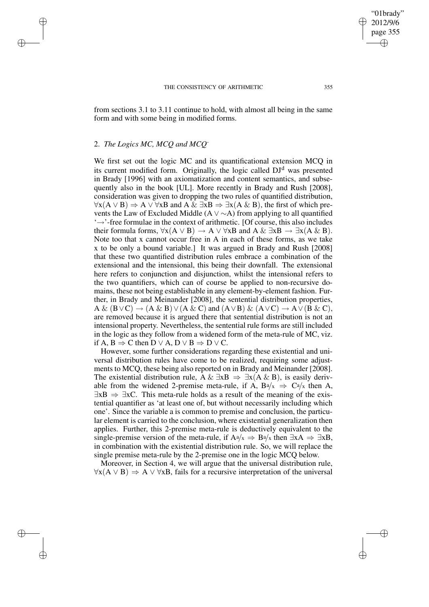#### THE CONSISTENCY OF ARITHMETIC 355

from sections 3.1 to 3.11 continue to hold, with almost all being in the same form and with some being in modified forms.

### 2. *The Logics MC, MCQ and MCQ-*

✐

✐

✐

✐

We first set out the logic MC and its quantificational extension MCQ in its current modified form. Originally, the logic called  $DJ<sup>d</sup>$  was presented in Brady [1996] with an axiomatization and content semantics, and subsequently also in the book [UL]. More recently in Brady and Rush [2008], consideration was given to dropping the two rules of quantified distribution,  $\forall x(A \lor B) \Rightarrow A \lor \forall xB$  and  $A \& \exists xB \Rightarrow \exists x(A \& B)$ , the first of which prevents the Law of Excluded Middle (A  $\vee \sim$ A) from applying to all quantified '→'-free formulae in the context of arithmetic. [Of course, this also includes their formula forms,  $\forall x(A \lor B) \rightarrow A \lor \forall xB$  and  $A \& \exists xB \rightarrow \exists x(A \& B)$ . Note too that x cannot occur free in A in each of these forms, as we take x to be only a bound variable.] It was argued in Brady and Rush [2008] that these two quantified distribution rules embrace a combination of the extensional and the intensional, this being their downfall. The extensional here refers to conjunction and disjunction, whilst the intensional refers to the two quantifiers, which can of course be applied to non-recursive domains, these not being establishable in any element-by-element fashion. Further, in Brady and Meinander [2008], the sentential distribution properties,  $A \& (B \vee C) \rightarrow (A \& B) \vee (A \& C)$  and  $(A \vee B) \& (A \vee C) \rightarrow A \vee (B \& C)$ , are removed because it is argued there that sentential distribution is not an intensional property. Nevertheless, the sentential rule forms are still included in the logic as they follow from a widened form of the meta-rule of MC, viz. if A, B  $\Rightarrow$  C then D  $\lor$  A, D  $\lor$  B  $\Rightarrow$  D  $\lor$  C.

However, some further considerations regarding these existential and universal distribution rules have come to be realized, requiring some adjustments to MCQ, these being also reported on in Brady and Meinander [2008]. The existential distribution rule, A &  $\exists x B \Rightarrow \exists x (A \& B)$ , is easily derivable from the widened 2-premise meta-rule, if A,  $Ba/x \Rightarrow Ca/x$  then A,  $\exists$ xB  $\Rightarrow$   $\exists$ xC. This meta-rule holds as a result of the meaning of the existential quantifier as 'at least one of, but without necessarily including which one'. Since the variable a is common to premise and conclusion, the particular element is carried to the conclusion, where existential generalization then applies. Further, this 2-premise meta-rule is deductively equivalent to the single-premise version of the meta-rule, if  $A^a/x \Rightarrow B^a/x$  then  $\exists xA \Rightarrow \exists xB$ , in combination with the existential distribution rule. So, we will replace the single premise meta-rule by the 2-premise one in the logic MCQ below.

Moreover, in Section 4, we will argue that the universal distribution rule,  $\forall x(A \lor B) \Rightarrow A \lor \forall xB$ , fails for a recursive interpretation of the universal

"01brady" 2012/9/6 page 355

✐

✐

✐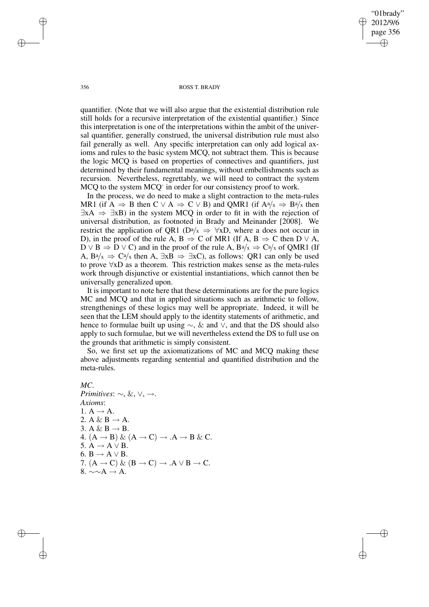✐

#### 356 ROSS T. BRADY

quantifier. (Note that we will also argue that the existential distribution rule still holds for a recursive interpretation of the existential quantifier.) Since this interpretation is one of the interpretations within the ambit of the universal quantifier, generally construed, the universal distribution rule must also fail generally as well. Any specific interpretation can only add logical axioms and rules to the basic system MCQ, not subtract them. This is because the logic MCQ is based on properties of connectives and quantifiers, just determined by their fundamental meanings, without embellishments such as recursion. Nevertheless, regrettably, we will need to contract the system MCQ to the system MCQ<sup>-</sup> in order for our consistency proof to work.

In the process, we do need to make a slight contraction to the meta-rules MR1 (if A  $\Rightarrow$  B then C  $\vee$  A  $\Rightarrow$  C  $\vee$  B) and QMR1 (if A<sup>a</sup>/x  $\Rightarrow$  B<sup>a</sup>/x then  $\exists xA \Rightarrow \exists xB$ ) in the system MCQ in order to fit in with the rejection of universal distribution, as footnoted in Brady and Meinander [2008]. We restrict the application of QR1 (Da/x  $\Rightarrow$   $\forall$ xD, where a does not occur in D), in the proof of the rule A, B  $\Rightarrow$  C of MR1 (If A, B  $\Rightarrow$  C then D  $\vee$  A,  $D \vee B \Rightarrow D \vee C$ ) and in the proof of the rule A,  $B^a/x \Rightarrow C^a/x$  of QMR1 (If A, Ba/x  $\Rightarrow$  Ca/x then A,  $\exists x \vec{B} \Rightarrow \exists x \vec{C}$ , as follows: QR1 can only be used to prove ∀xD as a theorem. This restriction makes sense as the meta-rules work through disjunctive or existential instantiations, which cannot then be universally generalized upon.

It is important to note here that these determinations are for the pure logics MC and MCQ and that in applied situations such as arithmetic to follow, strengthenings of these logics may well be appropriate. Indeed, it will be seen that the LEM should apply to the identity statements of arithmetic, and hence to formulae built up using  $\sim$ , & and  $\vee$ , and that the DS should also apply to such formulae, but we will nevertheless extend the DS to full use on the grounds that arithmetic is simply consistent.

So, we first set up the axiomatizations of MC and MCQ making these above adjustments regarding sentential and quantified distribution and the meta-rules.

### *MC*.

✐

✐

*Primitives*: ∼, &, ∨, →. *Axioms*: 1.  $A \rightarrow A$ . 2. A & B  $\rightarrow$  A. 3. A & B  $\rightarrow$  B. 4.  $(A \rightarrow B) \& (A \rightarrow C) \rightarrow .A \rightarrow B \& C.$ 5.  $A \rightarrow A \vee B$ . 6.  $B \rightarrow A \vee B$ . 7.  $(A \rightarrow C) \& (B \rightarrow C) \rightarrow .A \vee B \rightarrow C$ . 8.  $\sim \sim A \rightarrow A$ .

✐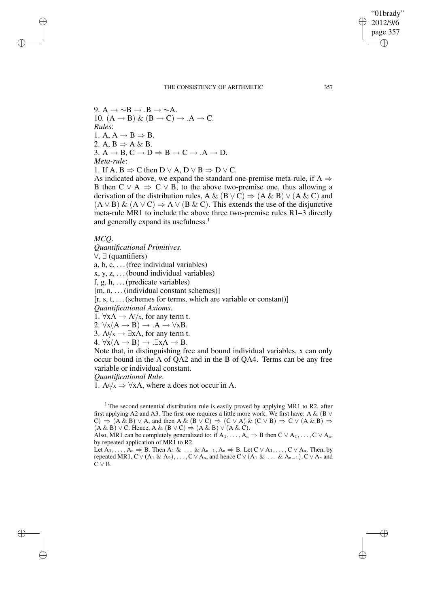"01brady" 2012/9/6 page 357 ✐ ✐

✐

✐

9. A  $\rightarrow \sim B \rightarrow B \rightarrow \sim A$ . 10.  $(A \rightarrow B) \& (B \rightarrow C) \rightarrow .A \rightarrow C$ . *Rules*: 1. A,  $A \rightarrow B \Rightarrow B$ . 2. A,  $B \Rightarrow A \& B$ . 3.  $A \rightarrow B$ ,  $C \rightarrow D \Rightarrow B \rightarrow C \rightarrow A \rightarrow D$ . *Meta-rule*: 1. If A, B  $\Rightarrow$  C then D  $\lor$  A, D  $\lor$  B  $\Rightarrow$  D  $\lor$  C. As indicated above, we expand the standard one-premise meta-rule, if  $A \Rightarrow$ 

B then  $C \vee A \Rightarrow C \vee B$ , to the above two-premise one, thus allowing a derivation of the distribution rules, A & (B  $\vee$  C)  $\Rightarrow$  (A & B)  $\vee$  (A & C) and  $(A \vee B)$  &  $(A \vee C) \Rightarrow A \vee (B \& C)$ . This extends the use of the disjunctive meta-rule MR1 to include the above three two-premise rules R1–3 directly and generally expand its usefulness.<sup>1</sup>

### *MCQ*.

✐

✐

✐

✐

*Quantificational Primitives*.

∀, ∃ (quantifiers)

a, b, c, . . .(free individual variables)

 $x, y, z, \ldots$  (bound individual variables)

f, g, h,  $\dots$  (predicate variables)

[m, n, ... (individual constant schemes)]

 $[r, s, t, \ldots]$  (schemes for terms, which are variable or constant)

*Quantificational Axioms*.

1.  $\forall x A \rightarrow A t / x$ , for any term t.

2.  $\forall x(A \rightarrow B) \rightarrow .A \rightarrow \forall xB$ .

3. At/ $x \rightarrow \exists x A$ , for any term t.

4.  $\forall x(A \rightarrow B) \rightarrow .\exists xA \rightarrow B$ .

Note that, in distinguishing free and bound individual variables, x can only occur bound in the A of QA2 and in the B of QA4. Terms can be any free variable or individual constant.

*Quantificational Rule*.

1.  $A^a/x \Rightarrow \forall xA$ , where a does not occur in A.

<sup>1</sup> The second sentential distribution rule is easily proved by applying MR1 to R2, after first applying A2 and A3. The first one requires a little more work. We first have: A & (B  $\vee$  $(C) \Rightarrow (A \& B) \vee A$ , and then  $A \& (B \vee C) \Rightarrow (C \vee A) \& (C \vee B) \Rightarrow C \vee (A \& B) \Rightarrow$  $(A \& B) \vee C$ . Hence, A &  $(B \vee C) \Rightarrow (A \& B) \vee (A \& C)$ .

Also, MR1 can be completely generalized to: if  $A_1, \ldots, A_n \Rightarrow B$  then  $C \vee A_1, \ldots, C \vee A_n$ , by repeated application of MR1 to R2.

Let  $\overline{A_1}, \ldots, \overline{A_n} \Rightarrow B$ . Then  $A_1 \& \ldots \& A_{n-1}, A_n \Rightarrow B$ . Let  $C \vee A_1, \ldots, C \vee A_n$ . Then, by repeated MR1, C∨(A<sub>1</sub> & A<sub>2</sub>), . . . , C∨A<sub>n</sub>, and hence C∨(A<sub>1</sub> & . . . & A<sub>n−1</sub>), C∨A<sub>n</sub> and  $C \vee B$ .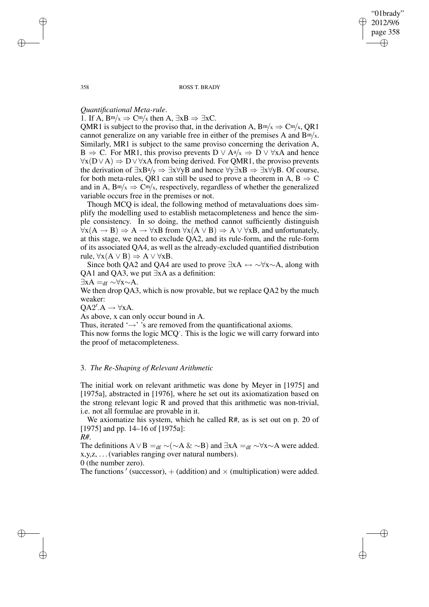"01brady" 2012/9/6 page 358 ✐ ✐

✐

✐

358 ROSS T. BRADY

# *Quantificational Meta-rule*.

1. If A,  $B<sup>m/x</sup> \Rightarrow C<sup>m/x</sup>$  then A,  $\exists xB \Rightarrow \exists xC$ .

QMR1 is subject to the proviso that, in the derivation A,  $B<sup>m/x</sup> \Rightarrow C<sup>m/x</sup>$ , QR1 cannot generalize on any variable free in either of the premises A and  $B<sup>m/x</sup>$ . Similarly, MR1 is subject to the same proviso concerning the derivation A, B  $\Rightarrow$  C. For MR1, this proviso prevents D  $\vee$  A $a/x \Rightarrow$  D  $\vee \forall xA$  and hence  $\forall x(D\vee A) \Rightarrow D\vee \forall xA$  from being derived. For QMR1, the proviso prevents the derivation of  $\exists xB^a/y \Rightarrow \exists x\forall yB$  and hence  $\forall y\exists xB \Rightarrow \exists x\forall yB$ . Of course, for both meta-rules, QR1 can still be used to prove a theorem in A,  $B \Rightarrow C$ and in A,  $B<sup>m/x</sup> \Rightarrow C<sup>m/x</sup>$ , respectively, regardless of whether the generalized variable occurs free in the premises or not.

Though MCQ is ideal, the following method of metavaluations does simplify the modelling used to establish metacompleteness and hence the simple consistency. In so doing, the method cannot sufficiently distinguish  $\forall x(A \rightarrow B) \Rightarrow A \rightarrow \forall xB$  from  $\forall x(A \lor B) \Rightarrow A \lor \forall xB$ , and unfortunately, at this stage, we need to exclude QA2, and its rule-form, and the rule-form of its associated QA4, as well as the already-excluded quantified distribution rule,  $\forall x (A \lor B) \Rightarrow A \lor \forall xB$ .

Since both OA2 and OA4 are used to prove  $\exists xA \leftrightarrow \forall x \sim A$ , along with QA1 and QA3, we put ∃xA as a definition:

 $\exists$ xA =<sub>df</sub> ∼ $\forall$ x∼A.

We then drop QA3, which is now provable, but we replace QA2 by the much weaker:

 $QA2'.A \rightarrow \forall xA.$ 

As above, x can only occur bound in A.

Thus, iterated ' $\rightarrow$ ' 's are removed from the quantificational axioms.

This now forms the logic MCQ<sup>-</sup>. This is the logic we will carry forward into the proof of metacompleteness.

### 3. *The Re-Shaping of Relevant Arithmetic*

The initial work on relevant arithmetic was done by Meyer in [1975] and [1975a], abstracted in [1976], where he set out its axiomatization based on the strong relevant logic R and proved that this arithmetic was non-trivial, i.e. not all formulae are provable in it.

We axiomatize his system, which he called R#, as is set out on p. 20 of [1975] and pp. 14–16 of [1975a]:

*R#*.

✐

✐

The definitions A  $\vee$  B =<sub>df</sub> ∼(∼A & ∼B) and ∃xA =<sub>df</sub> ∼ $\forall$ x∼A were added. x,y,z, . . .(variables ranging over natural numbers).

0 (the number zero).

The functions ' (successor),  $+$  (addition) and  $\times$  (multiplication) were added.

✐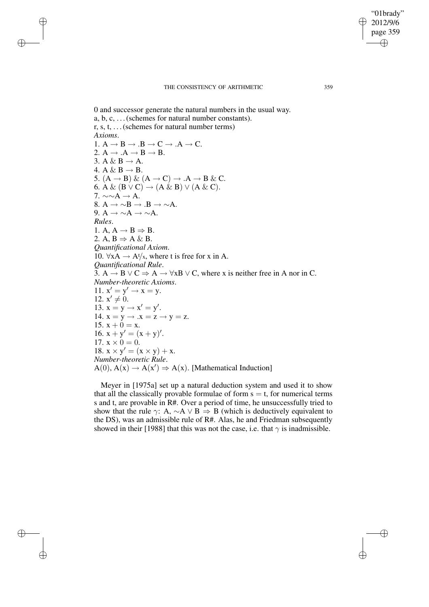"01brady" 2012/9/6 page 359 ✐ ✐

✐

✐

#### THE CONSISTENCY OF ARITHMETIC 359

✐

✐

✐

✐

0 and successor generate the natural numbers in the usual way. a, b, c, . . .(schemes for natural number constants). r, s, t, . . .(schemes for natural number terms) *Axioms*. 1.  $A \rightarrow B \rightarrow .B \rightarrow C \rightarrow .A \rightarrow C$ . 2.  $A \rightarrow .A \rightarrow B \rightarrow B$ . 3. A & B  $\rightarrow$  A. 4. A & B  $\rightarrow$  B. 5.  $(A \rightarrow B) \& (A \rightarrow C) \rightarrow .A \rightarrow B \& C$ . 6. A &  $(B \vee C) \rightarrow (A \& B) \vee (A \& C)$ . 7.  $\sim \sim A \rightarrow A$ . 8.  $A \rightarrow \sim B \rightarrow B \rightarrow \sim A$ . 9. A  $\rightarrow \sim A \rightarrow \sim A$ . *Rules*. 1. A,  $A \rightarrow B \Rightarrow B$ . 2. A,  $B \Rightarrow A \& B$ . *Quantificational Axiom*. 10.  $\forall x A \rightarrow A \forall x$ , where t is free for x in A. *Quantificational Rule*. 3. A  $\rightarrow$  B  $\vee$  C  $\Rightarrow$  A  $\rightarrow$   $\forall$ xB  $\vee$  C, where x is neither free in A nor in C. *Number-theoretic Axioms*. 11.  $x' = y' \rightarrow x = y$ . 12.  $x' \neq 0$ . 13.  $x = y \rightarrow x' = y'$ . 14.  $x = y \rightarrow .x = z \rightarrow y = z$ . 15.  $x + 0 = x$ . 16.  $x + y' = (x + y)'$ . 17.  $x \times 0 = 0$ . 18.  $x \times y' = (x \times y) + x$ . *Number-theoretic Rule*.  $A(0), A(x) \rightarrow A(x') \Rightarrow A(x)$ . [Mathematical Induction]

Meyer in [1975a] set up a natural deduction system and used it to show that all the classically provable formulae of form  $s = t$ , for numerical terms s and t, are provable in R#. Over a period of time, he unsuccessfully tried to show that the rule  $\gamma$ : A,  $\sim$ A  $\vee$  B  $\Rightarrow$  B (which is deductively equivalent to the DS), was an admissible rule of R#. Alas, he and Friedman subsequently showed in their [1988] that this was not the case, i.e. that  $\gamma$  is inadmissible.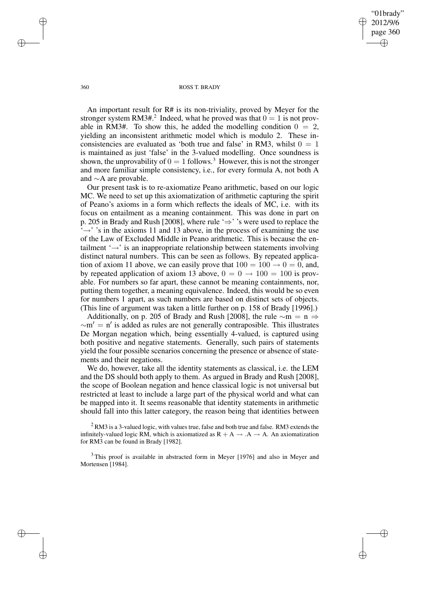"01brady" 2012/9/6 page 360 ✐ ✐

✐

✐

#### 360 ROSS T. BRADY

An important result for R# is its non-triviality, proved by Meyer for the stronger system RM3#.<sup>2</sup> Indeed, what he proved was that  $0 = 1$  is not provable in RM3#. To show this, he added the modelling condition  $0 = 2$ , yielding an inconsistent arithmetic model which is modulo 2. These inconsistencies are evaluated as 'both true and false' in RM3, whilst  $0 = 1$ is maintained as just 'false' in the 3-valued modelling. Once soundness is shown, the unprovability of  $0 = 1$  follows.<sup>3</sup> However, this is not the stronger and more familiar simple consistency, i.e., for every formula A, not both A and ∼A are provable.

Our present task is to re-axiomatize Peano arithmetic, based on our logic MC. We need to set up this axiomatization of arithmetic capturing the spirit of Peano's axioms in a form which reflects the ideals of MC, i.e. with its focus on entailment as a meaning containment. This was done in part on p. 205 in Brady and Rush [2008], where rule '⇒' 's were used to replace the  $\rightarrow$  ' $\rightarrow$ ' 's in the axioms 11 and 13 above, in the process of examining the use of the Law of Excluded Middle in Peano arithmetic. This is because the entailment '→' is an inappropriate relationship between statements involving distinct natural numbers. This can be seen as follows. By repeated application of axiom 11 above, we can easily prove that  $100 = 100 \rightarrow 0 = 0$ , and, by repeated application of axiom 13 above,  $0 = 0 \rightarrow 100 = 100$  is provable. For numbers so far apart, these cannot be meaning containments, nor, putting them together, a meaning equivalence. Indeed, this would be so even for numbers 1 apart, as such numbers are based on distinct sets of objects. (This line of argument was taken a little further on p. 158 of Brady [1996].)

Additionally, on p. 205 of Brady and Rush [2008], the rule  $\sim$ m = n  $\Rightarrow$  $~\sim m' = n'$  is added as rules are not generally contraposible. This illustrates De Morgan negation which, being essentially 4-valued, is captured using both positive and negative statements. Generally, such pairs of statements yield the four possible scenarios concerning the presence or absence of statements and their negations.

We do, however, take all the identity statements as classical, i.e. the LEM and the DS should both apply to them. As argued in Brady and Rush [2008], the scope of Boolean negation and hence classical logic is not universal but restricted at least to include a large part of the physical world and what can be mapped into it. It seems reasonable that identity statements in arithmetic should fall into this latter category, the reason being that identities between

 $^{2}$  RM3 is a 3-valued logic, with values true, false and both true and false. RM3 extends the infinitely-valued logic RM, which is axiomatized as  $R + A \rightarrow A \rightarrow A$ . An axiomatization for RM3 can be found in Brady [1982].

 $3$ This proof is available in abstracted form in Meyer [1976] and also in Meyer and Mortensen [1984].

✐

✐

✐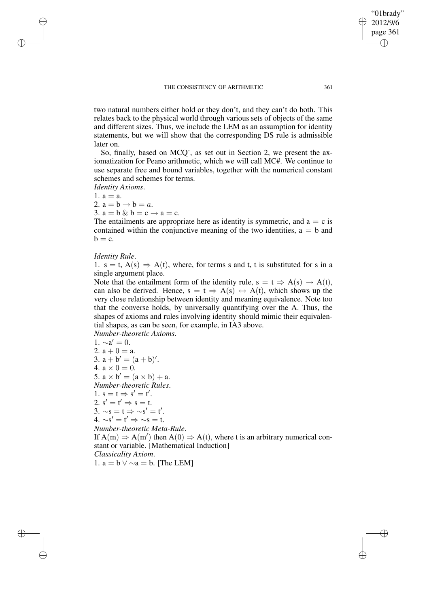#### THE CONSISTENCY OF ARITHMETIC 361

two natural numbers either hold or they don't, and they can't do both. This relates back to the physical world through various sets of objects of the same and different sizes. Thus, we include the LEM as an assumption for identity statements, but we will show that the corresponding DS rule is admissible later on.

So, finally, based on MCQ<sup>-</sup>, as set out in Section 2, we present the axiomatization for Peano arithmetic, which we will call MC#. We continue to use separate free and bound variables, together with the numerical constant schemes and schemes for terms.

*Identity Axioms*.

1.  $a = a$ .

✐

✐

✐

✐

- 2.  $a = b \rightarrow b = a$ .
- 3.  $a = b \& b = c \rightarrow a = c$ .

The entailments are appropriate here as identity is symmetric, and  $a = c$  is contained within the conjunctive meaning of the two identities,  $a = b$  and  $b = c$ .

# *Identity Rule*.

1. s = t,  $A(s) \Rightarrow A(t)$ , where, for terms s and t, t is substituted for s in a single argument place.

Note that the entailment form of the identity rule,  $s = t \Rightarrow A(s) \rightarrow A(t)$ , can also be derived. Hence,  $s = t \Rightarrow A(s) \leftrightarrow A(t)$ , which shows up the very close relationship between identity and meaning equivalence. Note too that the converse holds, by universally quantifying over the A. Thus, the shapes of axioms and rules involving identity should mimic their equivalential shapes, as can be seen, for example, in IA3 above.

*Number-theoretic Axioms*.

1.  $∼a' = 0$ . 2.  $a + 0 = a$ . 3.  $a + b' = (a + b)'.$ 4.  $a \times 0 = 0$ . 5.  $a \times b' = (a \times b) + a$ . *Number-theoretic Rules*. 1.  $s = t \Rightarrow s' = t'.$ 2.  $s' = t' \Rightarrow s = t$ . 3.  $\sim$ s = t  $\Rightarrow \sim$ s' = t'.  $4. \sim s' = t' \Rightarrow \sim s = t.$ *Number-theoretic Meta-Rule*. If  $A(m) \Rightarrow A(m')$  then  $A(0) \Rightarrow A(t)$ , where t is an arbitrary numerical constant or variable. [Mathematical Induction] *Classicality Axiom*.

1.  $a = b \vee \sim a = b$ . [The LEM]

"01brady" 2012/9/6 page 361

✐

✐

✐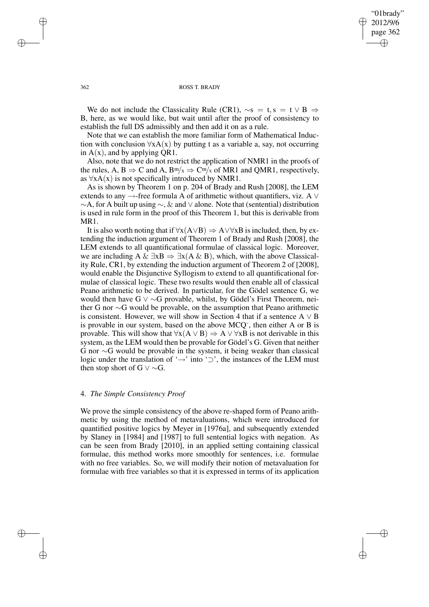"01brady" 2012/9/6 page 362 ✐ ✐

✐

✐

#### 362 ROSS T. BRADY

We do not include the Classicality Rule (CR1),  $\sim$ s = t, s = t  $\vee$  B  $\Rightarrow$ B, here, as we would like, but wait until after the proof of consistency to establish the full DS admissibly and then add it on as a rule.

Note that we can establish the more familiar form of Mathematical Induction with conclusion  $\forall x A(x)$  by putting t as a variable a, say, not occurring in  $A(x)$ , and by applying QR1.

Also, note that we do not restrict the application of NMR1 in the proofs of the rules, A, B  $\Rightarrow$  C and A, B<sup>m</sup>/x  $\Rightarrow$  C<sup>m</sup>/x of MR1 and QMR1, respectively, as  $\forall x A(x)$  is not specifically introduced by NMR1.

As is shown by Theorem 1 on p. 204 of Brady and Rush [2008], the LEM extends to any  $\rightarrow$ -free formula A of arithmetic without quantifiers, viz. A  $\vee$ ∼A, for A built up using ∼, & and ∨ alone. Note that (sentential) distribution is used in rule form in the proof of this Theorem 1, but this is derivable from MR1.

It is also worth noting that if  $\forall x(A \lor B) \Rightarrow A \lor \forall xB$  is included, then, by extending the induction argument of Theorem 1 of Brady and Rush [2008], the LEM extends to all quantificational formulae of classical logic. Moreover, we are including A &  $\exists xB \Rightarrow \exists x(A \& B)$ , which, with the above Classicality Rule, CR1, by extending the induction argument of Theorem 2 of [2008], would enable the Disjunctive Syllogism to extend to all quantificational formulae of classical logic. These two results would then enable all of classical Peano arithmetic to be derived. In particular, for the Gödel sentence G, we would then have G ∨ ∼G provable, whilst, by Gödel's First Theorem, neither G nor ∼G would be provable, on the assumption that Peano arithmetic is consistent. However, we will show in Section 4 that if a sentence  $A \vee B$ is provable in our system, based on the above MCQ<sup>-</sup>, then either A or B is provable. This will show that  $\forall x(A \lor B) \Rightarrow A \lor \forall xB$  is not derivable in this system, as the LEM would then be provable for Gödel's G. Given that neither G nor ∼G would be provable in the system, it being weaker than classical logic under the translation of '→' into '⊃', the instances of the LEM must then stop short of G  $\vee \sim G$ .

### 4. *The Simple Consistency Proof*

We prove the simple consistency of the above re-shaped form of Peano arithmetic by using the method of metavaluations, which were introduced for quantified positive logics by Meyer in [1976a], and subsequently extended by Slaney in [1984] and [1987] to full sentential logics with negation. As can be seen from Brady [2010], in an applied setting containing classical formulae, this method works more smoothly for sentences, i.e. formulae with no free variables. So, we will modify their notion of metavaluation for formulae with free variables so that it is expressed in terms of its application

✐

✐

✐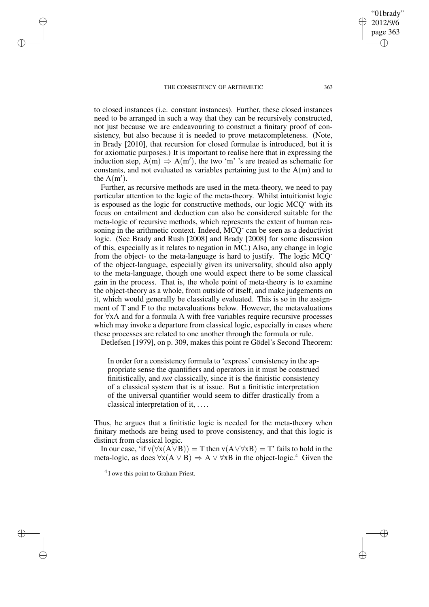#### THE CONSISTENCY OF ARITHMETIC 363

✐

✐

✐

✐

"01brady" 2012/9/6 page 363 ✐ ✐

✐

✐

to closed instances (i.e. constant instances). Further, these closed instances need to be arranged in such a way that they can be recursively constructed, not just because we are endeavouring to construct a finitary proof of consistency, but also because it is needed to prove metacompleteness. (Note, in Brady [2010], that recursion for closed formulae is introduced, but it is for axiomatic purposes.) It is important to realise here that in expressing the induction step,  $A(m) \Rightarrow A(m')$ , the two 'm' 's are treated as schematic for constants, and not evaluated as variables pertaining just to the  $A(m)$  and to the  $A(m')$ .

Further, as recursive methods are used in the meta-theory, we need to pay particular attention to the logic of the meta-theory. Whilst intuitionist logic is espoused as the logic for constructive methods, our logic MCQ- with its focus on entailment and deduction can also be considered suitable for the meta-logic of recursive methods, which represents the extent of human reasoning in the arithmetic context. Indeed,  $\widehat{MCQ}$  can be seen as a deductivist logic. (See Brady and Rush [2008] and Brady [2008] for some discussion of this, especially as it relates to negation in MC.) Also, any change in logic from the object- to the meta-language is hard to justify. The logic MCQof the object-language, especially given its universality, should also apply to the meta-language, though one would expect there to be some classical gain in the process. That is, the whole point of meta-theory is to examine the object-theory as a whole, from outside of itself, and make judgements on it, which would generally be classically evaluated. This is so in the assignment of T and F to the metavaluations below. However, the metavaluations for ∀xA and for a formula A with free variables require recursive processes which may invoke a departure from classical logic, especially in cases where these processes are related to one another through the formula or rule.

Detlefsen [1979], on p. 309, makes this point re Gödel's Second Theorem:

In order for a consistency formula to 'express' consistency in the appropriate sense the quantifiers and operators in it must be construed finitistically, and *not* classically, since it is the finitistic consistency of a classical system that is at issue. But a finitistic interpretation of the universal quantifier would seem to differ drastically from a classical interpretation of it, . . . .

Thus, he argues that a finitistic logic is needed for the meta-theory when finitary methods are being used to prove consistency, and that this logic is distinct from classical logic.

In our case, 'if  $v(\forall x(A \lor B)) = T$  then  $v(A \lor \forall xB) = T'$  fails to hold in the meta-logic, as does  $\forall x(A \lor B) \Rightarrow A \lor \forall xB$  in the object-logic.<sup>4</sup> Given the

<sup>&</sup>lt;sup>4</sup> I owe this point to Graham Priest.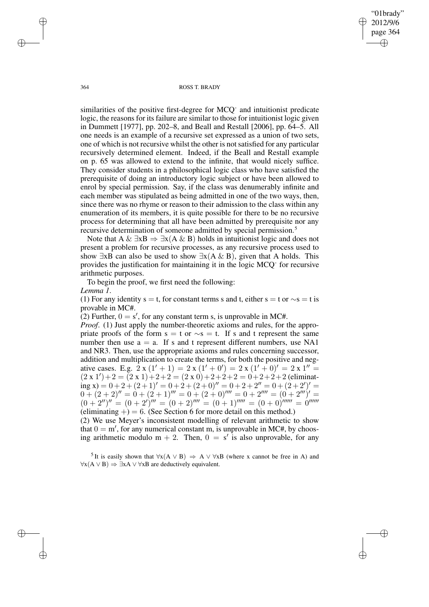"01brady" 2012/9/6 page 364 ✐ ✐

✐

✐

364 ROSS T. BRADY

similarities of the positive first-degree for MCQ<sup>-</sup> and intuitionist predicate logic, the reasons for its failure are similar to those for intuitionist logic given in Dummett [1977], pp. 202–8, and Beall and Restall [2006], pp. 64–5. All one needs is an example of a recursive set expressed as a union of two sets, one of which is not recursive whilst the other is notsatisfied for any particular recursively determined element. Indeed, if the Beall and Restall example on p. 65 was allowed to extend to the infinite, that would nicely suffice. They consider students in a philosophical logic class who have satisfied the prerequisite of doing an introductory logic subject or have been allowed to enrol by special permission. Say, if the class was denumerably infinite and each member was stipulated as being admitted in one of the two ways, then, since there was no rhyme or reason to their admission to the class within any enumeration of its members, it is quite possible for there to be no recursive process for determining that all have been admitted by prerequisite nor any recursive determination of someone admitted by special permission.<sup>5</sup>

Note that A &  $\exists x B \Rightarrow \exists x (A \& B)$  holds in intuitionist logic and does not present a problem for recursive processes, as any recursive process used to show  $\exists$ xB can also be used to show  $\exists$ x(A & B), given that A holds. This provides the justification for maintaining it in the logic MCQ-for recursive arithmetic purposes.

To begin the proof, we first need the following:

*Lemma 1*.

(1) For any identity s = t, for constant terms s and t, either s = t or  $\sim$ s = t is provable in MC#.

(2) Further,  $0 = s'$ , for any constant term s, is unprovable in MC#.

*Proof.* (1) Just apply the number-theoretic axioms and rules, for the appropriate proofs of the form  $s = t$  or  $\sim s = t$ . If s and t represent the same number then use  $a = a$ . If s and t represent different numbers, use NA1 and NR3. Then, use the appropriate axioms and rules concerning successor, addition and multiplication to create the terms, for both the positive and negative cases. E.g.  $2 \times (1' + 1) = 2 \times (1' + 0') = 2 \times (1' + 0)' = 2 \times 1'' =$  $(2 \times 1') + 2 = (2 \times 1) + 2 + 2 = (2 \times 0) + 2 + 2 + 2 = 0 + 2 + 2 + 2$  (eliminat- $\lim_{x \to 0}$   $x = 0 + 2 + (2 + 1)' = 0 + 2 + (2 + 0)' = 0 + 2 + 2'' = 0 + (2 + 2')' = 0$  $0 + (2 + 2)'' = 0 + (2 + 1)''' = 0 + (2 + 0)''' = 0 + 2'''' = (0 + 2''')' = 0$  $(0+2'')'' = (0+2')''' = (0+2)'''' = (0+1)'''' = (0+0)'''' = 0''$ (eliminating  $+) = 6$ . (See Section 6 for more detail on this method.)

(2) We use Meyer's inconsistent modelling of relevant arithmetic to show that  $0 = m'$ , for any numerical constant m, is unprovable in MC#, by choosing arithmetic modulo  $m + 2$ . Then,  $0 = s'$  is also unprovable, for any

<sup>5</sup>It is easily shown that  $\forall x(A \lor B) \Rightarrow A \lor \forall xB$  (where x cannot be free in A) and  $\forall x(A \lor B) \Rightarrow \exists x A \lor \forall x B$  are deductively equivalent.

✐

✐

✐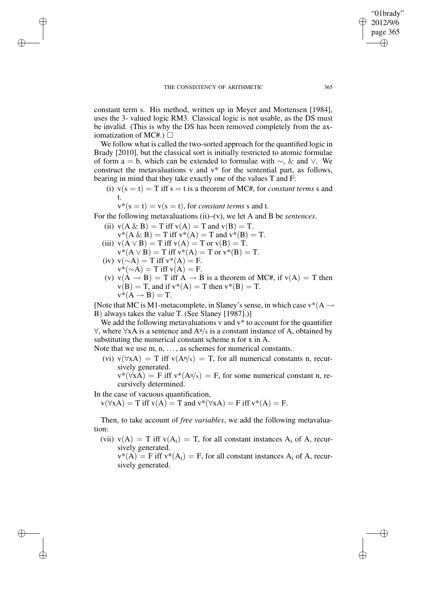constant term s. His method, written up in Meyer and Mortensen [1984], uses the 3- valued logic RM3. Classical logic is not usable, as the DS must be invalid. (This is why the DS has been removed completely from the axiomatization of MC#.)  $\Box$ 

We follow what is called the two-sorted approach for the quantified logic in Brady [2010], but the classical sort is initially restricted to atomic formulae of form a = b, which can be extended to formulae with  $\sim$ , & and  $\vee$ . We construct the metavaluations v and v\* for the sentential part, as follows, bearing in mind that they take exactly one of the values T and F:

- (i)  $v(s = t) = T$  iff  $s = t$  is a theorem of MC#, for *constant terms* s and t.
	- $v^*(s = t) = v(s = t)$ , for *constant terms s* and *t*.

For the following metavaluations (ii)–(v), we let A and B be *sentences*.

- (ii)  $v(A \& B) = T$  iff  $v(A) = T$  and  $v(B) = T$ .  $v^*(A \& B) = T$  iff  $v^*(A) = T$  and  $v^*(B) = T$ .
- (iii)  $v(A \vee B) = T$  iff  $v(A) = T$  or  $v(B) = T$ .  $v^*(A \vee B) = T$  iff  $v^*(A) = T$  or  $v^*(B) = T$ .
- (iv)  $v(\sim A) = T$  iff  $v^*(A) = F$ .  $v^*(-A) = T$  iff  $v(A) = F$ .

✐

✐

✐

✐

(v)  $v(A \rightarrow B) = T$  iff  $A \rightarrow B$  is a theorem of MC#, if  $v(A) = T$  then  $v(B) = T$ , and if  $v^*(A) = T$  then  $v^*(B) = T$ .  $v^*(A \rightarrow B) = T.$ 

[Note that MC is M1-metacomplete, in Slaney's sense, in which case  $v^*(A \rightarrow$ B) always takes the value T. (See Slaney [1987].)]

We add the following metavaluations  $v$  and  $v^*$  to account for the quantifier  $\forall$ , where  $\forall$ xA is a sentence and A<sup>n</sup>/<sub>x</sub> is a constant instance of A, obtained by substituting the numerical constant scheme n for x in A.

Note that we use  $m, n, \ldots$ , as schemes for numerical constants.

- (vi)  $v(\forall x A) = T$  iff  $v(A^n/x) = T$ , for all numerical constants n, recursively generated.
	- $v^*(\forall xA) = F$  iff  $v^*(A^n/x) = F$ , for some numerical constant n, recursively determined.

In the case of vacuous quantification,

 $v(\forall x A) = T$  iff  $v(A) = T$  and  $v^*(\forall x A) = F$  iff  $v^*(A) = F$ .

Then, to take account of *free variables*, we add the following metavaluation:

- (vii)  $v(A) = T$  iff  $v(A_i) = T$ , for all constant instances  $A_i$  of A, recursively generated.
	- $v^*(A) = F$  iff  $v^*(A_i) = F$ , for all constant instances  $A_i$  of A, recursively generated.

"01brady" 2012/9/6 page 365

✐

✐

✐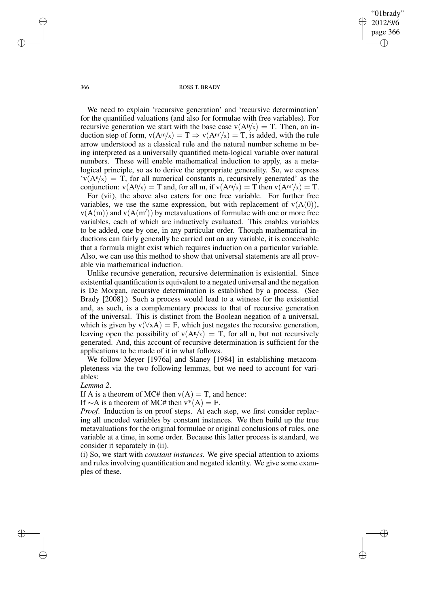"01brady" 2012/9/6 page 366 ✐ ✐

✐

✐

#### 366 ROSS T. BRADY

We need to explain 'recursive generation' and 'recursive determination' for the quantified valuations (and also for formulae with free variables). For recursive generation we start with the base case  $v(A^0/x) = T$ . Then, an induction step of form,  $v(A^m/x) = T \Rightarrow v(A^{m}/x) = T$ , is added, with the rule arrow understood as a classical rule and the natural number scheme m being interpreted as a universally quantified meta-logical variable over natural numbers. These will enable mathematical induction to apply, as a metalogical principle, so as to derive the appropriate generality. So, we express  $\mathbf{v}(A^n/x) = T$ , for all numerical constants n, recursively generated' as the conjunction:  $v(A^0/x) = T$  and, for all m, if  $v(A^m/x) = T$  then  $v(A^{m}/x) = T$ .

For (vii), the above also caters for one free variable. For further free variables, we use the same expression, but with replacement of  $v(A(0))$ ,  $v(A(m))$  and  $v(A(m'))$  by metavaluations of formulae with one or more free variables, each of which are inductively evaluated. This enables variables to be added, one by one, in any particular order. Though mathematical inductions can fairly generally be carried out on any variable, it is conceivable that a formula might exist which requires induction on a particular variable. Also, we can use this method to show that universal statements are all provable via mathematical induction.

Unlike recursive generation, recursive determination is existential. Since existential quantification is equivalent to a negated universal and the negation is De Morgan, recursive determination is established by a process. (See Brady [2008].) Such a process would lead to a witness for the existential and, as such, is a complementary process to that of recursive generation of the universal. This is distinct from the Boolean negation of a universal, which is given by  $v(\forall xA) = F$ , which just negates the recursive generation, leaving open the possibility of  $v(A<sup>n</sup>/x) = T$ , for all n, but not recursively generated. And, this account of recursive determination is sufficient for the applications to be made of it in what follows.

We follow Meyer [1976a] and Slaney [1984] in establishing metacompleteness via the two following lemmas, but we need to account for variables:

### *Lemma 2*.

If A is a theorem of MC# then  $v(A) = T$ , and hence:

If  $\sim$ A is a theorem of MC# then v\*(A) = F.

*Proof.* Induction is on proof steps. At each step, we first consider replacing all uncoded variables by constant instances. We then build up the true metavaluations for the original formulae or original conclusions of rules, one variable at a time, in some order. Because this latter process is standard, we consider it separately in (ii).

(i) So, we start with *constant instances*. We give special attention to axioms and rules involving quantification and negated identity. We give some examples of these.

✐

✐

✐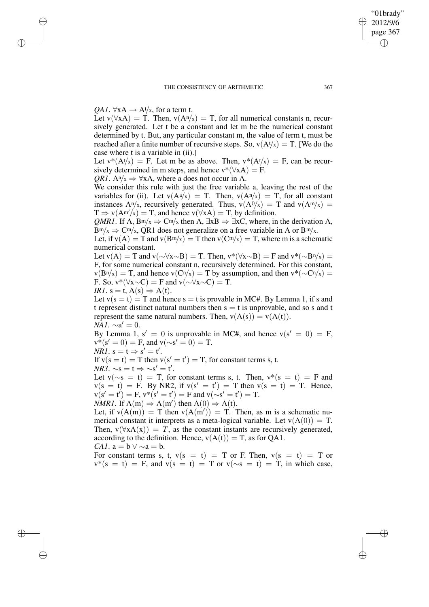"01brady" 2012/9/6 page 367

✐

✐

✐

✐

*QA1*.  $\forall$ xA  $\rightarrow$  A<sup>t</sup>/x, for a term t.

✐

✐

✐

✐

Let  $v(\forall x A) = T$ . Then,  $v(A^n/x) = T$ , for all numerical constants n, recursively generated. Let t be a constant and let m be the numerical constant determined by t. But, any particular constant m, the value of term t, must be reached after a finite number of recursive steps. So,  $v(A<sup>t</sup>/x) = T$ . [We do the case where t is a variable in (ii).]

Let  $v^*(At/x) = F$ . Let m be as above. Then,  $v^*(At/x) = F$ , can be recursively determined in m steps, and hence  $v^*(\forall xA) = F$ .

*QR1*. Aa/ $x \Rightarrow \forall x A$ , where a does not occur in A.

We consider this rule with just the free variable a, leaving the rest of the variables for (ii). Let  $v(A^a/x) = T$ . Then,  $v(A^a/x) = T$ , for all constant instances  $A^{n}/x$ , recursively generated. Thus,  $v(A^{0}/x) = T$  and  $v(A^{m}/x) = T$  $T \Rightarrow v(A^{m'}/x) = T$ , and hence  $v(\forall x A) = T$ , by definition.

*QMR1*. If A, B<sup>m</sup>/x  $\Rightarrow$  C<sup>m</sup>/x then A,  $\exists$ xB  $\Rightarrow$   $\exists$ xC, where, in the derivation A,  $Bm/x \Rightarrow Cm/x$ , QR1 does not generalize on a free variable in A or  $Bm/x$ .

Let, if  $v(A) = T$  and  $v(Bm/x) = T$  then  $v(Cm/x) = T$ , where m is a schematic numerical constant.

Let  $v(A) = T$  and  $v(\sim \forall x \sim B) = T$ . Then,  $v^*(\forall x \sim B) = F$  and  $v^*(\sim Bn/x) =$ F, for some numerical constant n, recursively determined. For this constant,  $v(B<sup>n</sup>/x) = T$ , and hence  $v(C<sup>n</sup>/x) = T$  by assumption, and then  $v<sup>*</sup>(\sim C<sup>n</sup>/x) = T$ F. So,  $v^*(\forall x \sim C) = F$  and  $v(\sim \forall x \sim C) = T$ .

*IR1*.  $s = t$ ,  $A(s) \Rightarrow A(t)$ .

Let  $v(s = t) = T$  and hence  $s = t$  is provable in MC#. By Lemma 1, if s and t represent distinct natural numbers then  $s = t$  is unprovable, and so s and t represent the same natural numbers. Then,  $v(A(s)) = v(A(t))$ .  $NA1. \sim a' = 0.$ 

By Lemma 1,  $s' = 0$  is unprovable in MC#, and hence  $v(s' = 0) = F$ ,  $v^*(s' = 0) = F$ , and  $v(\sim s' = 0) = T$ .

 $NRI. s = t \Rightarrow s' = t'.$ 

If  $v(s = t) = T$  then  $v(s' = t') = T$ , for constant terms s, t.

 $NR\ddot{3}. \sim s = t \Rightarrow \sim s' = t'.$ 

Let  $v(\sim s = t) = T$ , for constant terms s, t. Then,  $v*(s = t) = F$  and  $v(s = t) = F$ . By NR2, if  $v(s' = t') = T$  then  $v(s = t) = T$ . Hence,  $v(s' = t') = F$ ,  $v^*(s' = t') = F$  and  $v(\sim s' = t') = T$ .

*NMR1*. If  $A(m) \Rightarrow A(m')$  then  $A(0) \Rightarrow A(t)$ .

Let, if  $v(A(m)) = T$  then  $v(A(m')) = T$ . Then, as m is a schematic numerical constant it interprets as a meta-logical variable. Let  $v(A(0)) = T$ . Then,  $v(\forall x A(x)) = T$ , as the constant instants are recursively generated, according to the definition. Hence,  $v(A(t)) = T$ , as for OA1. *CA1*.  $a = b \vee \sim a = b$ .

For constant terms s, t,  $v(s = t) = T$  or F. Then,  $v(s = t) = T$  or  $v^*(s = t) = F$ , and  $v(s = t) = T$  or  $v(\sim s = t) = T$ , in which case,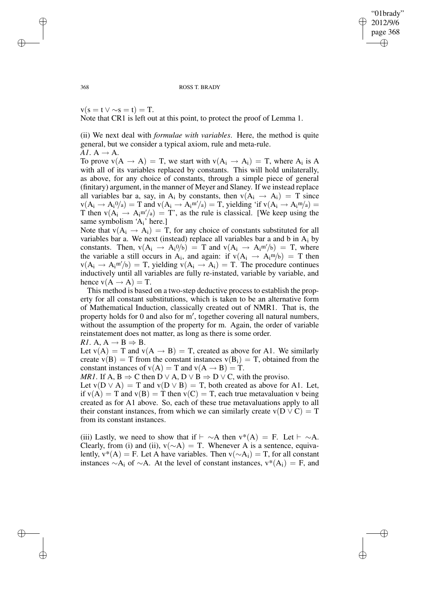"01brady" 2012/9/6 page 368 ✐ ✐

✐

✐

#### 368 ROSS T. BRADY

 $v(s = t \vee \sim s = t) = T$ .

Note that CR1 is left out at this point, to protect the proof of Lemma 1.

(ii) We next deal with *formulae with variables*. Here, the method is quite general, but we consider a typical axiom, rule and meta-rule. *A1*.  $A \rightarrow A$ .

To prove  $v(A \rightarrow A) = T$ , we start with  $v(A_i \rightarrow A_i) = T$ , where  $A_i$  is A with all of its variables replaced by constants. This will hold unilaterally, as above, for any choice of constants, through a simple piece of general (finitary) argument, in the manner of Meyer and Slaney. If we instead replace all variables bar a, say, in A<sub>i</sub> by constants, then  $v(A_i \rightarrow A_i) = T$  since  $v(A_i \rightarrow A_i^0/a) = T$  and  $v(A_i \rightarrow A_i^m/a) = T$ , yielding 'if  $v(A_i \rightarrow A_i^m/a) =$ T then  $v(A_1 \rightarrow A_1 m/a) = T$ , as the rule is classical. [We keep using the same symbolism 'A<sub>i</sub>' here.]

Note that  $v(A_i \rightarrow A_i) = T$ , for any choice of constants substituted for all variables bar a. We next (instead) replace all variables bar a and b in  $A_i$  by constants. Then,  $v(A_i \rightarrow A_i/0/b) = T$  and  $v(A_i \rightarrow A_i/0/b) = T$ , where the variable a still occurs in A<sub>i</sub>, and again: if  $v(A_i \rightarrow A_i m/b) = T$  then  $v(A_i \rightarrow A_i m/b) = T$ , yielding  $v(A_i \rightarrow A_i) = T$ . The procedure continues inductively until all variables are fully re-instated, variable by variable, and hence  $v(A \rightarrow A) = T$ .

This method is based on a two-step deductive process to establish the property for all constant substitutions, which is taken to be an alternative form of Mathematical Induction, classically created out of NMR1. That is, the property holds for 0 and also for m', together covering all natural numbers, without the assumption of the property for m. Again, the order of variable reinstatement does not matter, as long as there is some order.

*RI*. A, 
$$
A \rightarrow B \Rightarrow B
$$
.

Let  $v(A) = T$  and  $v(A \rightarrow B) = T$ , created as above for A1. We similarly create  $v(B) = T$  from the constant instances  $v(B_i) = T$ , obtained from the constant instances of  $v(A) = T$  and  $v(A \rightarrow B) = T$ .

*MR1*. If A,  $B \Rightarrow C$  then  $D \lor A$ ,  $D \lor B \Rightarrow D \lor C$ , with the proviso.

Let  $v(D \vee A) = T$  and  $v(D \vee B) = T$ , both created as above for A1. Let, if  $v(A) = T$  and  $v(B) = T$  then  $v(C) = T$ , each true metavaluation v being created as for A1 above. So, each of these true metavaluations apply to all their constant instances, from which we can similarly create  $v(D \vee C) = T$ from its constant instances.

(iii) Lastly, we need to show that if  $\vdash \sim A$  then  $v^*(A) = F$ . Let  $\vdash \sim A$ . Clearly, from (i) and (ii),  $v(∼A) = T$ . Whenever A is a sentence, equivalently,  $v^*(A) = F$ . Let A have variables. Then  $v(\sim A_i) = T$ , for all constant instances  $\sim A_i$  of  $\sim A$ . At the level of constant instances,  $v^*(A_i) = F$ , and

✐

✐

✐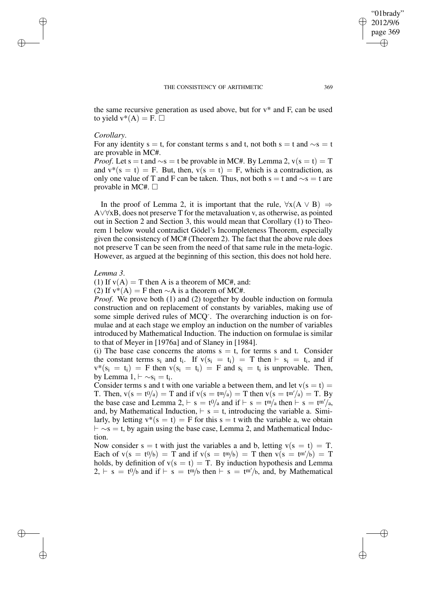✐

the same recursive generation as used above, but for  $v^*$  and F, can be used to yield  $v^*(A) = F.$ 

### *Corollary*.

✐

✐

✐

✐

For any identity s = t, for constant terms s and t, not both s = t and  $\sim$ s = t are provable in MC#.

*Proof.* Let s = t and  $\sim$ s = t be provable in MC#. By Lemma 2, v(s = t) = T and  $v^*(s = t) = F$ . But, then,  $v(s = t) = F$ , which is a contradiction, as only one value of T and F can be taken. Thus, not both s = t and  $\sim$ s = t are provable in MC#.  $\Box$ 

In the proof of Lemma 2, it is important that the rule,  $\forall x(A \lor B) \Rightarrow$ A∨∀xB, does not preserve T for the metavaluation v, as otherwise, as pointed out in Section 2 and Section 3, this would mean that Corollary (1) to Theorem 1 below would contradict Gödel's Incompleteness Theorem, especially given the consistency of MC# (Theorem 2). The fact that the above rule does not preserve T can be seen from the need of that same rule in the meta-logic. However, as argued at the beginning of this section, this does not hold here.

#### *Lemma 3*.

(1) If  $v(A) = T$  then A is a theorem of MC#, and:

(2) If  $v^*(A) = F$  then  $\sim A$  is a theorem of MC#.

*Proof.* We prove both (1) and (2) together by double induction on formula construction and on replacement of constants by variables, making use of some simple derived rules of MCQ<sup>-</sup>. The overarching induction is on formulae and at each stage we employ an induction on the number of variables introduced by Mathematical Induction. The induction on formulae is similar to that of Meyer in [1976a] and of Slaney in [1984].

(i) The base case concerns the atoms  $s = t$ , for terms s and t. Consider the constant terms  $s_i$  and  $t_i$ . If  $v(s_i = t_i) = T$  then  $\vdash s_i = t_i$ , and if  $v^*(s_i = t_i) = F$  then  $v(s_i = t_i) = F$  and  $s_i = t_i$  is unprovable. Then, by Lemma  $1, \vdash \sim s_i = t_i$ .

Consider terms s and t with one variable a between them, and let  $v(s = t) =$ T. Then,  $v(s = t^0/a) = T$  and if  $v(s = t^m/a) = T$  then  $v(s = t^{m}/a) = T$ . By the base case and Lemma 2,  $\vdash s = t^0/a$  and if  $\vdash s = t^m/a$  then  $\vdash s = t^{m}/a$ , and, by Mathematical Induction,  $\vdash s = t$ , introducing the variable a. Similarly, by letting  $v^*(s = t) = F$  for this  $s = t$  with the variable a, we obtain  $\vdash \sim s = t$ , by again using the base case, Lemma 2, and Mathematical Induction.

Now consider  $s = t$  with just the variables a and b, letting  $v(s = t) = T$ . Each of  $v(s = t^0/s) = T$  and if  $v(s = t^m/s) = T$  then  $v(s = t^m/s) = T$ holds, by definition of  $v(s = t) = T$ . By induction hypothesis and Lemma  $2, \vdash s = t^0/b$  and if  $\vdash s = t^m/b$  then  $\vdash s = t^m/b$ , and, by Mathematical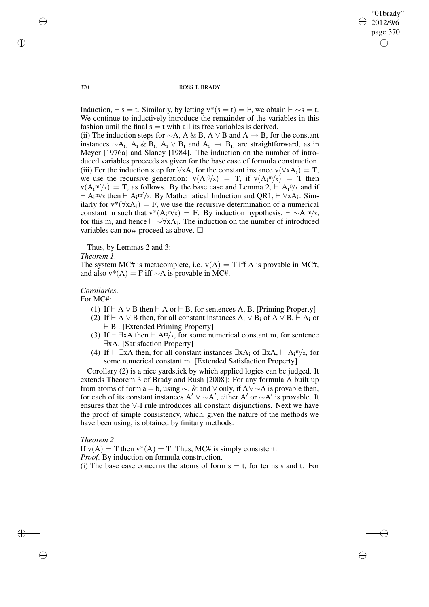✐

#### 370 ROSS T. BRADY

Induction,  $\vdash$  s = t. Similarly, by letting v\*(s = t) = F, we obtain  $\vdash \sim s = t$ . We continue to inductively introduce the remainder of the variables in this fashion until the final  $s = t$  with all its free variables is derived.

(ii) The induction steps for  $\sim A$ , A & B, A  $\vee$  B and A  $\rightarrow$  B, for the constant instances  $\sim A_i$ ,  $A_i \& B_i$ ,  $A_i \vee B_i$  and  $A_i \rightarrow B_i$ , are straightforward, as in Meyer [1976a] and Slaney [1984]. The induction on the number of introduced variables proceeds as given for the base case of formula construction. (iii) For the induction step for  $\forall xA$ , for the constant instance  $v(\forall xA_i) = T$ , we use the recursive generation:  $v(A_i^0/x) = T$ , if  $v(A_i^m/x) = T$  then  $v(A_i^{m'}/x) = T$ , as follows. By the base case and Lemma 2,  $\vdash A_i^{0}/x$  and if  $\vdash A_i$ <sup>m/x</sup> then  $\vdash A_i$ <sup>m/</sup>/x. By Mathematical Induction and QR1,  $\vdash \forall x A_i$ . Similarly for  $v^*(\forall xA_i) = F$ , we use the recursive determination of a numerical constant m such that  $v^*(A_i^m/x) = F$ . By induction hypothesis,  $\vdash \sim A_i^m/x$ , for this m, and hence  $\vdash \sim \forall x A_i$ . The induction on the number of introduced variables can now proceed as above.  $\square$ 

Thus, by Lemmas 2 and 3:

*Theorem 1*.

The system MC# is metacomplete, i.e.  $v(A) = T$  iff A is provable in MC#. and also  $v^*(A) = F$  iff  $∼A$  is provable in MC#.

# *Corollaries*.

For MC#:

- (1) If  $\vdash A \lor B$  then  $\vdash A$  or  $\vdash B$ , for sentences A, B. [Priming Property]
- (2) If  $\vdash A \lor B$  then, for all constant instances A<sub>i</sub>  $\lor B_i$  of A  $\lor B_i \vdash A_i$  or  $\vdash$  B<sub>i</sub>. [Extended Priming Property]
- (3) If  $\vdash \exists x A$  then  $\vdash A^m/x$ , for some numerical constant m, for sentence ∃xA. [Satisfaction Property]
- (4) If  $\vdash \exists x A$  then, for all constant instances  $\exists x A_i$  of  $\exists x A, \vdash A_i$ <sup>m</sup>/x, for some numerical constant m. [Extended Satisfaction Property]

Corollary (2) is a nice yardstick by which applied logics can be judged. It extends Theorem 3 of Brady and Rush [2008]: For any formula A built up from atoms of form a = b, using  $\sim$ , & and  $\vee$  only, if A $\vee \sim$ A is provable then, for each of its constant instances A'  $\vee \sim A'$ , either A' or  $\sim A'$  is provable. It ensures that the ∨-I rule introduces all constant disjunctions. Next we have the proof of simple consistency, which, given the nature of the methods we have been using, is obtained by finitary methods.

### *Theorem 2*.

✐

✐

If  $v(A) = T$  then  $v^*(A) = T$ . Thus, MC# is simply consistent. *Proof*. By induction on formula construction. (i) The base case concerns the atoms of form  $s = t$ , for terms s and t. For

✐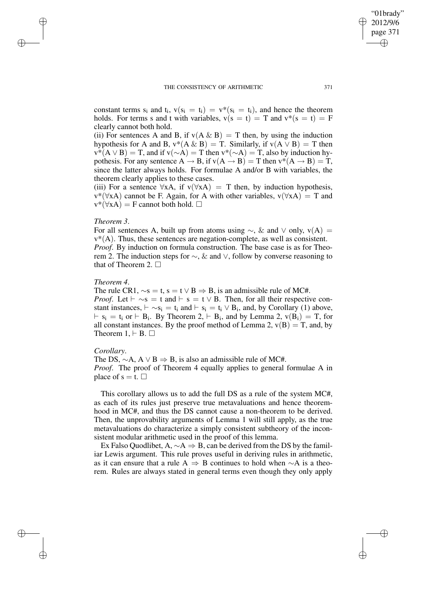#### THE CONSISTENCY OF ARITHMETIC 371

constant terms  $s_i$  and  $t_i$ ,  $v(s_i = t_i) = v^*(s_i = t_i)$ , and hence the theorem holds. For terms s and t with variables,  $v(s = t) = T$  and  $v^*(s = t) = F$ clearly cannot both hold.

(ii) For sentences A and B, if  $v(A \& B) = T$  then, by using the induction hypothesis for A and B,  $v^*(A \& B) = T$ . Similarly, if  $v(A \vee B) = T$  then  $v^*(A \vee B) = T$ , and if  $v(\sim A) = T$  then  $v^*(\sim A) = T$ , also by induction hypothesis. For any sentence  $A \rightarrow B$ , if  $v(A \rightarrow B) = T$  then  $v^*(A \rightarrow B) = T$ , since the latter always holds. For formulae A and/or B with variables, the theorem clearly applies to these cases.

(iii) For a sentence  $\forall xA$ , if  $v(\forall xA) = T$  then, by induction hypothesis,  $v^*(\forall xA)$  cannot be F. Again, for A with other variables,  $v(\forall xA) = T$  and  $v^*(\forall x A) = F$  cannot both hold.  $\Box$ 

### *Theorem 3*.

✐

✐

✐

✐

For all sentences A, built up from atoms using  $\sim$ , & and  $\vee$  only, v(A) =  $v^*(A)$ . Thus, these sentences are negation-complete, as well as consistent. *Proof*. By induction on formula construction. The base case is as for Theorem 2. The induction steps for ∼, & and ∨, follow by converse reasoning to that of Theorem 2.  $\Box$ 

# *Theorem 4*.

The rule CR1,  $\sim$ s = t, s = t  $\vee$  B  $\Rightarrow$  B, is an admissible rule of MC#. *Proof.* Let  $\vdash \sim$ s = t and  $\vdash$  s = t  $\lor$  B. Then, for all their respective constant instances,  $\vdash \sim s_i = t_i$  and  $\vdash s_i = t_i \vee B_i$ , and, by Corollary (1) above,  $\vdash s_i = t_i$  or  $\vdash B_i$ . By Theorem 2,  $\vdash B_i$ , and by Lemma 2,  $v(B_i) = T$ , for all constant instances. By the proof method of Lemma 2,  $v(B) = T$ , and, by Theorem  $1, \vdash B$ .  $\Box$ 

### *Corollary*.

The DS,  $\sim$ A, A  $\vee$  B  $\Rightarrow$  B, is also an admissible rule of MC#. *Proof*. The proof of Theorem 4 equally applies to general formulae A in place of  $s = t$ .  $\Box$ 

This corollary allows us to add the full DS as a rule of the system MC#, as each of its rules just preserve true metavaluations and hence theoremhood in MC#, and thus the DS cannot cause a non-theorem to be derived. Then, the unprovability arguments of Lemma 1 will still apply, as the true metavaluations do characterize a simply consistent subtheory of the inconsistent modular arithmetic used in the proof of this lemma.

Ex Falso Quodlibet, A,  $\sim A \Rightarrow B$ , can be derived from the DS by the familiar Lewis argument. This rule proves useful in deriving rules in arithmetic, as it can ensure that a rule A  $\Rightarrow$  B continues to hold when  $\sim$ A is a theorem. Rules are always stated in general terms even though they only apply

"01brady" 2012/9/6 page 371

✐

✐

✐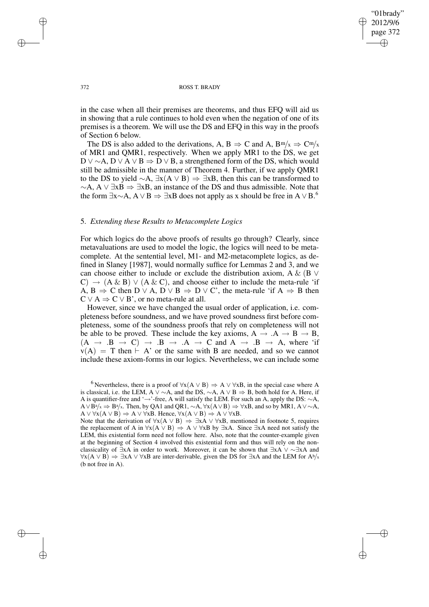✐

#### 372 ROSS T. BRADY

in the case when all their premises are theorems, and thus EFQ will aid us in showing that a rule continues to hold even when the negation of one of its premises is a theorem. We will use the DS and EFQ in this way in the proofs of Section 6 below.

The DS is also added to the derivations, A, B  $\Rightarrow$  C and A, B<sup>m</sup>/x  $\Rightarrow$  C<sup>m</sup>/x of MR1 and QMR1, respectively. When we apply MR1 to the DS, we get D ∨  $\sim$  A, D ∨ A ∨ B  $\Rightarrow$  D ∨ B, a strengthened form of the DS, which would still be admissible in the manner of Theorem 4. Further, if we apply QMR1 to the DS to yield  $\sim$ A,  $\exists$ x(A ∨ B)  $\Rightarrow \exists$ xB, then this can be transformed to  $~\sim$ A, A ∨ ∃xB  $\Rightarrow$  ∃xB, an instance of the DS and thus admissible. Note that the form  $\exists x \sim A$ ,  $A \lor B \Rightarrow \exists xB$  does not apply as x should be free in  $A \lor B$ .<sup>6</sup>

### 5. *Extending these Results to Metacomplete Logics*

For which logics do the above proofs of results go through? Clearly, since metavaluations are used to model the logic, the logics will need to be metacomplete. At the sentential level, M1- and M2-metacomplete logics, as defined in Slaney [1987], would normally suffice for Lemmas 2 and 3, and we can choose either to include or exclude the distribution axiom, A & (B ∨  $(C) \rightarrow (A \& B) \vee (A \& C)$ , and choose either to include the meta-rule 'if A,  $B \Rightarrow C$  then  $D \vee A$ ,  $D \vee B \Rightarrow D \vee C'$ , the meta-rule 'if  $A \Rightarrow B$  then  $C \vee A \Rightarrow C \vee B'$ , or no meta-rule at all.

However, since we have changed the usual order of application, i.e. completeness before soundness, and we have proved soundness first before completeness, some of the soundness proofs that rely on completeness will not be able to be proved. These include the key axioms,  $A \rightarrow A \rightarrow B \rightarrow B$ ,  $(A \rightarrow B \rightarrow C) \rightarrow B \rightarrow A \rightarrow C$  and  $A \rightarrow B \rightarrow A$ , where 'if  $v(A) = T$  then  $\vdash A'$  or the same with B are needed, and so we cannot include these axiom-forms in our logics. Nevertheless, we can include some

✐

✐

✐

<sup>&</sup>lt;sup>6</sup> Nevertheless, there is a proof of  $\forall x(A \lor B) \Rightarrow A \lor \forall xB$ , in the special case where A is classical, i.e. the LEM, A  $\vee \sim A$ , and the DS,  $\sim A$ , A  $\vee B \Rightarrow B$ , both hold for A. Here, if A is quantifier-free and '→'-free, A will satisfy the LEM. For such an A, apply the DS: ∼A,  $A \vee \overline{B}^{a}/x \Rightarrow B^{a}/x$ . Then, by QA1 and QR1,  $\sim A$ ,  $\forall x(A \vee B) \Rightarrow \forall xB$ , and so by MR1,  $A \vee \sim A$ ,  $A \lor \forall x (A \lor B) \Rightarrow A \lor \forall x B$ . Hence,  $\forall x (A \lor B) \Rightarrow A \lor \forall x B$ .

Note that the derivation of  $\forall x(A \lor B) \Rightarrow \exists x A \lor \forall xB$ , mentioned in footnote 5, requires the replacement of A in  $\forall x(A \lor B) \Rightarrow A \lor \forall xB$  by  $\exists xA$ . Since  $\exists xA$  need not satisfy the LEM, this existential form need not follow here. Also, note that the counter-example given at the beginning of Section 4 involved this existential form and thus will rely on the nonclassicality of  $\exists xA$  in order to work. Moreover, it can be shown that  $\exists xA \lor \sim \exists xA$  and  $\forall x(A \lor B) \Rightarrow \exists x A \lor \forall x B$  are inter-derivable, given the DS for  $\exists x A$  and the LEM for  $A^b/x$ (b not free in A).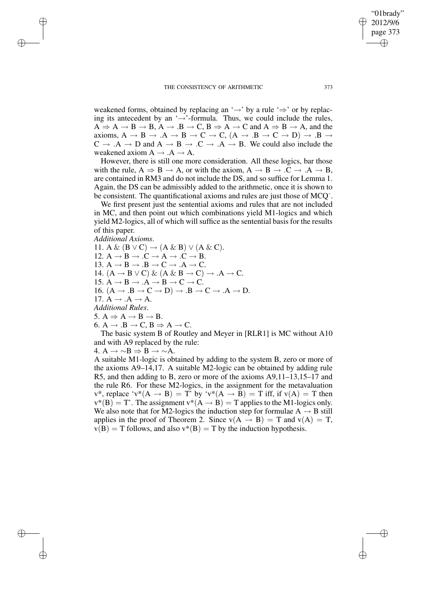#### THE CONSISTENCY OF ARITHMETIC 373

weakened forms, obtained by replacing an ' $\rightarrow$ ' by a rule ' $\Rightarrow$ ' or by replacing its antecedent by an ' $\rightarrow$ '-formula. Thus, we could include the rules,  $A \Rightarrow A \rightarrow B \rightarrow B$ ,  $A \rightarrow B \rightarrow C$ ,  $B \Rightarrow A \rightarrow C$  and  $A \Rightarrow B \rightarrow A$ , and the axioms,  $A \rightarrow B \rightarrow A \rightarrow B \rightarrow C \rightarrow C$ ,  $(A \rightarrow B \rightarrow C \rightarrow D) \rightarrow B \rightarrow$  $C \rightarrow A \rightarrow D$  and  $A \rightarrow B \rightarrow C \rightarrow A \rightarrow B$ . We could also include the weakened axiom  $A \rightarrow A \rightarrow A$ .

However, there is still one more consideration. All these logics, bar those with the rule,  $A \Rightarrow B \rightarrow A$ , or with the axiom,  $A \rightarrow B \rightarrow C \rightarrow A \rightarrow B$ , are contained in RM3 and do not include the DS, and so suffice for Lemma 1. Again, the DS can be admissibly added to the arithmetic, once it is shown to be consistent. The quantificational axioms and rules are just those of MCQ- .

We first present just the sentential axioms and rules that are not included in MC, and then point out which combinations yield M1-logics and which yield M2-logics, all of which will suffice as the sentential basis for the results of this paper.

### *Additional Axioms*.

✐

✐

✐

✐

11. A &  $(B \vee C) \rightarrow (A \& B) \vee (A \& C)$ . 12.  $A \rightarrow B \rightarrow C \rightarrow A \rightarrow C \rightarrow B$ . 13.  $A \rightarrow B \rightarrow .B \rightarrow C \rightarrow .A \rightarrow C$ . 14.  $(A \rightarrow B \vee C) \& (A \& B \rightarrow C) \rightarrow .A \rightarrow C$ . 15.  $\mathbf{A} \rightarrow \mathbf{B} \rightarrow \mathbf{A} \rightarrow \mathbf{B} \rightarrow \mathbf{C} \rightarrow \mathbf{C}$ . 16.  $(A \rightarrow B \rightarrow C \rightarrow D) \rightarrow B \rightarrow C \rightarrow A \rightarrow D$ . 17.  $A \rightarrow .A \rightarrow A$ . *Additional Rules*. 5.  $A \Rightarrow A \rightarrow B \rightarrow B$ .

6.  $A \rightarrow B \rightarrow C$ ,  $B \Rightarrow A \rightarrow C$ .

The basic system B of Routley and Meyer in [RLR1] is MC without A10 and with A9 replaced by the rule:

4. A  $\rightarrow \sim B \Rightarrow B \rightarrow \sim A$ .

A suitable M1-logic is obtained by adding to the system B, zero or more of the axioms A9–14,17. A suitable M2-logic can be obtained by adding rule R5, and then adding to B, zero or more of the axioms A9,11–13,15–17 and the rule R6. For these M2-logics, in the assignment for the metavaluation  $v^*$ , replace ' $v^*(A \rightarrow B) = T'$  by ' $v^*(A \rightarrow B) = T$  iff, if  $v(A) = T$  then  $v^*(B) = T'$ . The assignment  $v^*(A \rightarrow B) = T$  applies to the M1-logics only. We also note that for M2-logics the induction step for formulae  $A \rightarrow B$  still applies in the proof of Theorem 2. Since  $v(A \rightarrow B) = T$  and  $v(A) = T$ ,  $v(B) = T$  follows, and also  $v^*(B) = T$  by the induction hypothesis.

"01brady" 2012/9/6 page 373

✐

✐

✐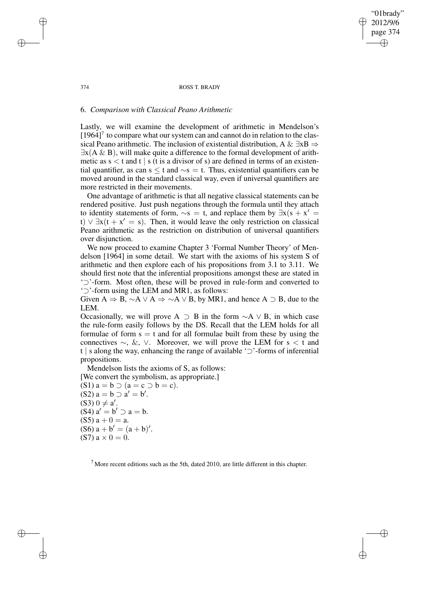374 ROSS T. BRADY

"01brady" 2012/9/6 page 374

✐

✐

✐

✐

### 6. *Comparison with Classical Peano Arithmetic*

Lastly, we will examine the development of arithmetic in Mendelson's  $[1964]$ <sup>7</sup> to compare what our system can and cannot do in relation to the classical Peano arithmetic. The inclusion of existential distribution, A &  $\exists xB \Rightarrow$  $\exists$ x(A & B), will make quite a difference to the formal development of arithmetic as  $s < t$  and  $t \mid s$  (t is a divisor of s) are defined in terms of an existential quantifier, as can s  $\leq t$  and  $\sim$ s = t. Thus, existential quantifiers can be moved around in the standard classical way, even if universal quantifiers are more restricted in their movements.

One advantage of arithmetic is that all negative classical statements can be rendered positive. Just push negations through the formula until they attach to identity statements of form,  $\sim$ s = t, and replace them by  $\exists x (s + x' =$ t)  $\forall \exists x (t + x' = s)$ . Then, it would leave the only restriction on classical Peano arithmetic as the restriction on distribution of universal quantifiers over disjunction.

We now proceed to examine Chapter 3 'Formal Number Theory' of Mendelson [1964] in some detail. We start with the axioms of his system S of arithmetic and then explore each of his propositions from 3.1 to 3.11. We should first note that the inferential propositions amongst these are stated in '⊃'-form. Most often, these will be proved in rule-form and converted to '⊃'-form using the LEM and MR1, as follows:

Given A  $\Rightarrow$  B,  $\sim$ A  $\vee$  A  $\Rightarrow$   $\sim$ A  $\vee$  B, by MR1, and hence A  $\supset$  B, due to the LEM.

Occasionally, we will prove A ⊃ B in the form  $\sim$ A  $\vee$  B, in which case the rule-form easily follows by the DS. Recall that the LEM holds for all formulae of form  $s = t$  and for all formulae built from these by using the connectives  $\sim$ , &, ∨. Moreover, we will prove the LEM for s < t and t | s along the way, enhancing the range of available '⊃'-forms of inferential propositions.

Mendelson lists the axioms of S, as follows: [We convert the symbolism, as appropriate.]

 $(S1)$  a = b  $\supset$  (a = c  $\supset$  b = c).  $(S2) a = b \supset a' = b'.$  $($ S3 $) 0 \neq a'$ .  $(S4)$   $a' = b' \supset a = b$ . (S5)  $a + 0 = a$ .  $(S6)$  a + b' =  $(a + b)'$ . (S7)  $a \times 0 = 0$ .

 $<sup>7</sup>$  More recent editions such as the 5th, dated 2010, are little different in this chapter.</sup>

✐

✐

✐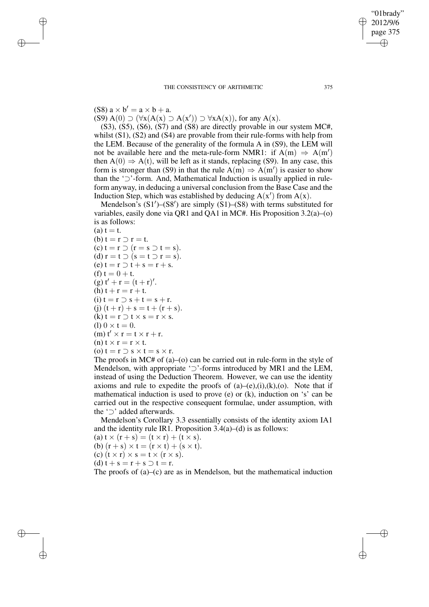# (S8)  $a \times b' = a \times b + a$ .

✐

✐

✐

✐

 $(S9) A(0) \supset (\forall x (A(x) \supset A(x')) \supset \forall x A(x))$ , for any A(x).

(S3), (S5), (S6), (S7) and (S8) are directly provable in our system MC#, whilst  $(S1)$ ,  $(S2)$  and  $(S4)$  are provable from their rule-forms with help from the LEM. Because of the generality of the formula A in (S9), the LEM will not be available here and the meta-rule-form NMR1: if  $A(m) \Rightarrow A(m')$ then  $A(0) \Rightarrow A(t)$ , will be left as it stands, replacing (S9). In any case, this form is stronger than (S9) in that the rule  $A(m) \Rightarrow A(m')$  is easier to show than the '⊃'-form. And, Mathematical Induction is usually applied in ruleform anyway, in deducing a universal conclusion from the Base Case and the Induction Step, which was established by deducing  $A(x')$  from  $A(x)$ .

Mendelson's  $(S1')-(S8')$  are simply  $(S1)$ – $(S8)$  with terms substituted for variables, easily done via QR1 and QA1 in MC#. His Proposition 3.2(a)–(o) is as follows:

 $(a) t = t.$ (b)  $t = r \supset r = t$ .  $(c) t = r \supset (r = s \supset t = s).$ (d)  $r = t \supset (s = t \supset r = s)$ .  $(e) t = r \supset t + s = r + s.$ (f)  $t = 0 + t$ . (g)  $t' + r = (t + r)'$ . (h)  $t + r = r + t$ . (i)  $t = r \supset s + t = s + r$ . (j)  $(t + r) + s = t + (r + s)$ . (k)  $t = r \supset t \times s = r \times s$ . (1)  $0 \times t = 0$ .  $(m) t' \times r = t \times r + r.$ (n)  $t \times r = r \times t$ . (o)  $t = r \supset s \times t = s \times r$ .

The proofs in MC# of (a)–(o) can be carried out in rule-form in the style of Mendelson, with appropriate '⊃'-forms introduced by MR1 and the LEM, instead of using the Deduction Theorem. However, we can use the identity axioms and rule to expedite the proofs of  $(a)$ – $(e)$ , $(i)$ , $(k)$ , $(o)$ . Note that if mathematical induction is used to prove (e) or (k), induction on 's' can be carried out in the respective consequent formulae, under assumption, with the '⊃' added afterwards.

Mendelson's Corollary 3.3 essentially consists of the identity axiom IA1 and the identity rule IR1. Proposition  $3.4(a)$ –(d) is as follows:

(a)  $t \times (r + s) = (t \times r) + (t \times s)$ . (b)  $(r + s) \times t = (r \times t) + (s \times t)$ .

(c)  $(t \times r) \times s = t \times (r \times s)$ .

(d)  $t + s = r + s \supset t = r$ .

The proofs of (a)–(c) are as in Mendelson, but the mathematical induction

"01brady" 2012/9/6 page 375

✐

✐

✐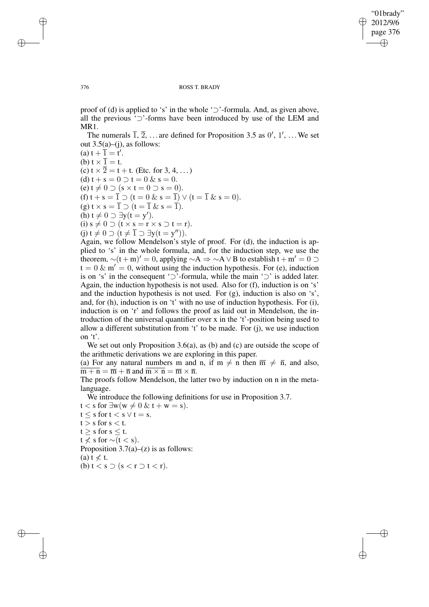✐

#### 376 ROSS T. BRADY

proof of (d) is applied to 's' in the whole ' $\supset$ '-formula. And, as given above, all the previous '⊃'-forms have been introduced by use of the LEM and MR1.

The numerals  $\overline{1}$ ,  $\overline{2}$ , ... are defined for Proposition 3.5 as 0', 1', ... We set out  $3.5(a)$ –(j), as follows:

(a)  $t + \overline{1} = t'$ . (b)  $t \times \overline{1} = t$ . (c)  $t \times \overline{2} = t + t$ . (Etc. for 3, 4, ...) (d)  $t + s = 0 \supset t = 0$  &  $s = 0$ . (e)  $t \neq 0 \supset (s \times t = 0 \supset s = 0).$ (f)  $t + s = \overline{1} \supset (t = 0 \& s = \overline{1}) \vee (t = \overline{1} \& s = 0).$ (g)  $t \times s = \overline{1} \supset (t = \overline{1} \& s = \overline{1}).$ (h)  $t \neq 0 \supseteq \exists y(t = y').$ (i)  $s \neq 0 \supset (t \times s = r \times s \supset t = r).$ (j)  $t \neq 0 \supset (t \neq \overline{1} \supset \exists y(t = y'')).$ Again, we follow Mendelson's style of proof. For (d), the induction is ap-

plied to 's' in the whole formula, and, for the induction step, we use the theorem,  $\sim(t+m)' = 0$ , applying  $\sim A \rightarrow \sim A \vee B$  to establish t + m' = 0 ⊃  $t = 0 \& m' = 0$ , without using the induction hypothesis. For (e), induction is on 's' in the consequent '⊃'-formula, while the main '⊃' is added later. Again, the induction hypothesis is not used. Also for (f), induction is on 's' and the induction hypothesis is not used. For (g), induction is also on 's', and, for (h), induction is on 't' with no use of induction hypothesis. For (i), induction is on 'r' and follows the proof as laid out in Mendelson, the introduction of the universal quantifier over x in the 't'-position being used to allow a different substitution from 't' to be made. For (j), we use induction on 't'.

We set out only Proposition 3.6(a), as (b) and (c) are outside the scope of the arithmetic derivations we are exploring in this paper.

(a) For any natural numbers m and n, if  $m \neq n$  then  $\overline{m} \neq \overline{n}$ , and also,  $\overline{m + n} = \overline{m} + \overline{n}$  and  $\overline{m \times n} = \overline{m} \times \overline{n}$ .

The proofs follow Mendelson, the latter two by induction on n in the metalanguage.

We introduce the following definitions for use in Proposition 3.7.

 $t < s$  for  $\exists w (w \neq 0 \& t + w = s)$ .  $t \leq s$  for  $t \leq s \vee t = s$ .  $t > s$  for  $s < t$ .  $t \geq s$  for  $s \leq t$ .  $t \leq s$  for ~ $(t < s)$ . Proposition  $3.7(a)$ –(z) is as follows: (a)  $t \neq t$ . (b)  $t < s \supset (s < r \supset t < r)$ .

✐

✐

✐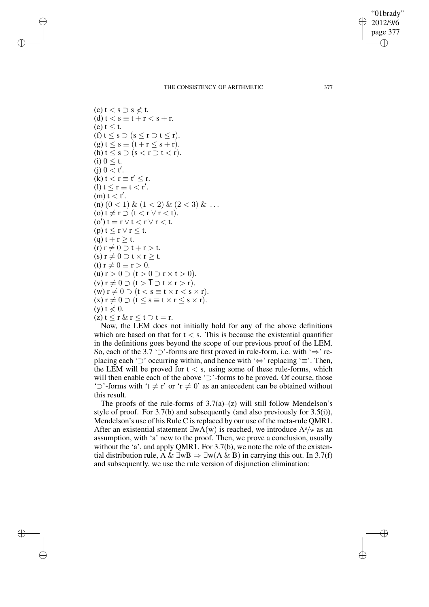✐

#### THE CONSISTENCY OF ARITHMETIC 377

 $(c)$  t  $<$  s  $\supset$  s  $\nless$  t. (d)  $t < s \equiv t + r < s + r$ .  $(e)$  t  $\leq t$ . (f)  $t \leq s \supset (s \leq r \supset t \leq r)$ .  $(g) t \leq s \equiv (t + r \leq s + r).$ (h)  $t \leq s \supset (s < r \supset t < r)$ . (i)  $0 \leq t$ .  $(j)$   $0 < t'$ .  $(k) t < r \equiv t' \leq r.$ (1)  $t \le r \equiv t < r'$ .  $\lim_{t \to \infty} t < t'.$ (n)  $(0 < \overline{1}) \& (\overline{1} < \overline{2}) \& (\overline{2} < \overline{3}) \& \dots$ (o)  $t \neq r \supset (t < r \vee r < t).$ (o')  $t = r \vee t < r \vee r < t$ . (p)  $t \leq r \vee r \leq t$ . (q)  $t + r \geq t$ .  $(r) r \neq 0 \supset t + r > t.$ (s)  $r \neq 0 \supset t \times r \geq t$ . (t)  $r \neq 0 \equiv r > 0$ . (u)  $r > 0 \supset (t > 0 \supset r \times t > 0)$ . (v)  $r \neq 0 \supset (t > \overline{1} \supset t \times r > r).$  $(w) r \neq 0 \supset (t < s \equiv t \times r < s \times r).$  $(x)$   $r \neq 0$   $\supset$   $(t \leq s \equiv t \times r \leq s \times r)$ .  $(y)$  t  $\not\leq 0$ .  $(z) t \leq r \& r \leq t \supset t = r.$ 

✐

✐

✐

✐

Now, the LEM does not initially hold for any of the above definitions which are based on that for  $t < s$ . This is because the existential quantifier in the definitions goes beyond the scope of our previous proof of the LEM. So, each of the 3.7 '⊃'-forms are first proved in rule-form, i.e. with '⇒' replacing each '⊃' occurring within, and hence with '⇔' replacing '≡'. Then, the LEM will be proved for  $t < s$ , using some of these rule-forms, which will then enable each of the above '⊃'-forms to be proved. Of course, those ' $\supset$ '-forms with 't  $\neq$  r' or 'r  $\neq$  0' as an antecedent can be obtained without this result.

The proofs of the rule-forms of  $3.7(a)$ –(z) will still follow Mendelson's style of proof. For 3.7(b) and subsequently (and also previously for 3.5(i)), Mendelson's use of his Rule C is replaced by our use of the meta-rule QMR1. After an existential statement  $\exists w \overline{A}(w)$  is reached, we introduce  $A^a/w$  as an assumption, with 'a' new to the proof. Then, we prove a conclusion, usually without the 'a', and apply OMR1. For 3.7(b), we note the role of the existential distribution rule, A &  $\exists wB \Rightarrow \exists w(A \& B)$  in carrying this out. In 3.7(f) and subsequently, we use the rule version of disjunction elimination: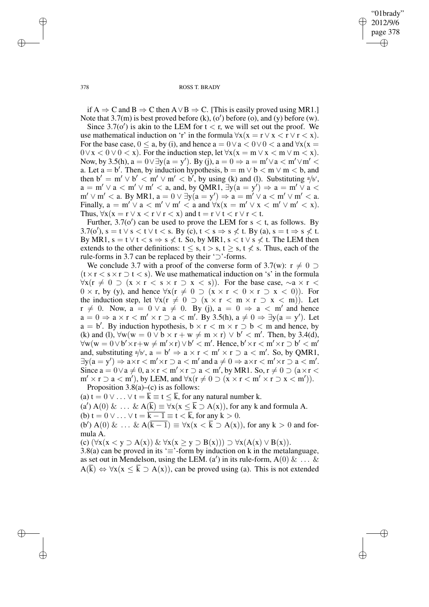"01brady" 2012/9/6 page 378 ✐ ✐

✐

✐

378 ROSS T. BRADY

if A  $\Rightarrow$  C and B  $\Rightarrow$  C then A  $\lor$  B  $\Rightarrow$  C. [This is easily proved using MR1.] Note that  $3.7(m)$  is best proved before (k), (o') before (o), and (y) before (w).

Since  $3.7(\sigma')$  is akin to the LEM for  $t < r$ , we will set out the proof. We use mathematical induction on 'r' in the formula  $\forall x(x = r \lor x < r \lor r < x)$ . For the base case,  $0 \le a$ , by (i), and hence  $a = 0 \lor a < 0 \lor 0 < a$  and  $\forall x(x = 0)$  $0 \vee x < 0 \vee 0 < x$ ). For the induction step, let  $\forall x (x = m \vee x < m \vee m < x)$ . Now, by 3.5(h),  $a = 0 \lor \exists y (a = y')$ . By (j),  $a = 0 \Rightarrow a = m' \lor a < m' \lor m'$ a. Let  $a = b'$ . Then, by induction hypothesis,  $b = m \lor b < m \lor m < b$ , and then  $b' = m' \vee b' < m' \vee m' < b'$ , by using (k) and (l). Substituting  $a'b'$ ,  $a = m' \vee a < m' \vee m' < a$ , and, by QMR1,  $\exists y(a = y') \Rightarrow a = m' \vee a$  $m' \vee m' < a$ . By MR1,  $a = 0 \vee \exists y (a = y') \Rightarrow a = m' \vee a < m' \vee m' < a$ . Finally,  $a = m' \vee a < m' \vee m' < a$  and  $\forall x(x = m' \vee x < m' \vee m' < x)$ . Thus,  $\forall x(x = r \lor x < r \lor r < x)$  and  $t = r \lor t < r \lor r < t$ .

Further,  $3.7(\text{o}')$  can be used to prove the LEM for s < t, as follows. By 3.7(o'), s = t  $\vee$  s < t  $\vee$  t < s. By (c), t < s  $\Rightarrow$  s  $\not\leq$  t. By (a), s = t  $\Rightarrow$  s  $\not\leq$  t. By MR1,  $s = t \vee t < s \Rightarrow s \nless t$ . So, by MR1,  $s < t \vee s \nless t$ . The LEM then extends to the other definitions:  $t \leq s$ ,  $t > s$ ,  $t \geq s$ ,  $t \leq s$ . Thus, each of the rule-forms in 3.7 can be replaced by their '⊃'-forms.

We conclude 3.7 with a proof of the converse form of 3.7(w):  $r \neq 0$  $(t \times r < s \times r \supset t < s)$ . We use mathematical induction on 's' in the formula  $\forall x (r \neq 0 \supset (x \times r \leq s \times r \supset x \leq s))$ . For the base case,  $\sim a \times r \leq s$  $0 \times r$ , by (y), and hence  $\forall x (r \neq 0 \supset (x \times r < 0 \times r \supset x < 0))$ . For the induction step, let  $\forall x (r \neq 0 \supset (x \times r < m \times r \supset x < m)).$  Let  $r \neq 0$ . Now,  $a = 0 \vee a \neq 0$ . By (j),  $a = 0 \Rightarrow a < m'$  and hence  $a = 0 \Rightarrow a \times r < m' \times r \supset a < m'.$  By 3.5(h),  $a \neq 0 \Rightarrow \exists y(a = y').$  Let  $a = b'$ . By induction hypothesis,  $b \times r < m \times r > b < m$  and hence, by (k) and (l),  $\forall w(w = 0 \lor b \times r + w \neq m \times r) \lor b' < m'$ . Then, by 3.4(d),  $\forall w(w = 0 \lor b' \times r + w \neq m' \times r) \lor b' < m'$ . Hence,  $b' \times r < m' \times r \supset b' < m'$ and, substituting  $a/b'$ ,  $a = b' \Rightarrow a \times r < m' \times r \supset a < m'$ . So, by QMR1,  $\exists y(a = y') \Rightarrow a \times r < m' \times r \supset a < m'$  and  $a \neq 0 \Rightarrow a \times r < m' \times r \supset a < m'.$ Since  $a = 0 \lor a \neq 0$ ,  $a \times r < m' \times r \supset a < m'$ , by MR1. So,  $r \neq 0 \supset (a \times r <$  $m' \times r \supset a < m'$ ), by LEM, and  $\forall x (r \neq 0 \supset (x \times r < m' \times r \supset x < m')).$ 

Proposition  $3.8(a)$ –(c) is as follows:

(a)  $t = 0 \vee \ldots \vee t = k \equiv t \leq k$ , for any natural number k.

(a')  $A(0) \& \dots \& A(\overline{k}) \equiv \overline{\forall x (x \leq \overline{k} \supset A(x))}$ , for any k and formula A.

(b)  $t = 0 \vee \ldots \vee t = \overline{k-1} \equiv t < \overline{k}$ , for any  $k > 0$ .

(b') A(0) & ... & A( $\overline{k-1}$ )  $\equiv \forall x(x < \overline{k} \supset A(x))$ , for any  $k > 0$  and formula A.

(c)  $(\forall x(x < y \supset A(x)) \& \forall x(x \ge y \supset B(x))) \supset \forall x(A(x) \vee B(x)).$ 

3.8(a) can be proved in its ' $\equiv$ '-form by induction on k in the metalanguage, as set out in Mendelson, using the LEM. (a') in its rule-form,  $A(0) \& \dots \&$  $A(\overline{k}) \Leftrightarrow \forall x (x \leq \overline{k} \supset A(x))$ , can be proved using (a). This is not extended

✐

✐

✐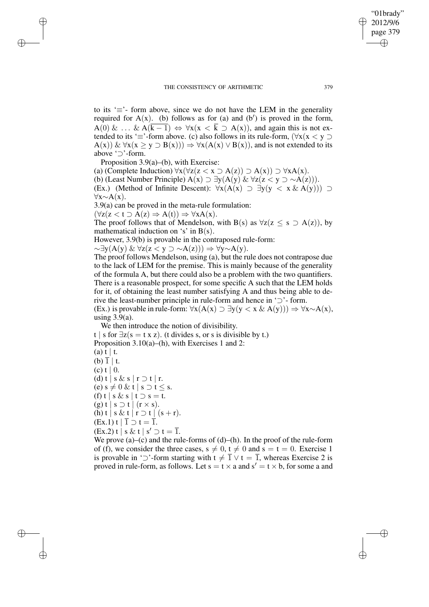to its ' $\equiv$ '- form above, since we do not have the LEM in the generality required for  $A(x)$ . (b) follows as for (a) and (b') is proved in the form,  $A(0) \& \ldots \& A(\overline{k-1}) \Leftrightarrow \forall x(x < \overline{k} \supset A(x))$ , and again this is not extended to its ' $\equiv$ '-form above. (c) also follows in its rule-form,  $(\forall x(x < y \supset$  $A(x)$ ) &  $\forall x(x \ge y \supset B(x))) \Rightarrow \forall x(A(x) \vee B(x))$ , and is not extended to its above '⊃'-form.

Proposition 3.9(a)–(b), with Exercise: (a) (Complete Induction)  $\forall x (\forall z (z \le x \supset A(z)) \supset A(x)) \supset \forall x A(x)$ . (b) (Least Number Principle)  $A(x)$  ⊃  $\exists y(A(y) \& \forall z(z < y \supset \sim A(z)))$ . (Ex.) (Method of Infinite Descent):  $\forall x(A(x) \supset \exists y(y \langle x \& A(y)) )$  $\forall x \sim A(x)$ .

3.9(a) can be proved in the meta-rule formulation:

 $(\forall z(z \leq t \supset A(z) \Rightarrow A(t)) \Rightarrow \forall x A(x).$ 

✐

✐

✐

✐

The proof follows that of Mendelson, with B(s) as  $\forall z(z \le s \supset A(z))$ , by mathematical induction on 's' in  $B(s)$ .

However, 3.9(b) is provable in the contraposed rule-form:

 $\sim \exists y(A(y) \& \forall z(z < y \supset \sim A(z))) \Rightarrow \forall y \sim A(y).$ 

The proof follows Mendelson, using (a), but the rule does not contrapose due to the lack of LEM for the premise. This is mainly because of the generality of the formula A, but there could also be a problem with the two quantifiers. There is a reasonable prospect, for some specific A such that the LEM holds for it, of obtaining the least number satisfying A and thus being able to derive the least-number principle in rule-form and hence in '⊃'- form.

(Ex.) is provable in rule-form:  $\forall x(A(x) \supset \exists y(y < x \& A(y))) \Rightarrow \forall x \sim A(x)$ , using  $3.9(a)$ .

We then introduce the notion of divisibility.

t | s for  $\exists z$ (s = t x z). (t divides s, or s is divisible by t.) Proposition 3.10(a)–(h), with Exercises 1 and 2:  $(a) t | t$ . (b)  $\overline{1}$  | t. (c) t | 0. (d) t | s & s | r  $\supset$  t | r. (e) s  $\neq 0$  & t | s  $\supset t \leq s$ . (f) t | s & s | t  $\supset$  s = t.  $(g)$  t | s  $\supset$  t | (r  $\times$  s). (h) t | s & t | r  $\supset$  t | (s + r).  $(Ex.1)$  t  $\vert \overline{1} \supset t = \overline{1}$ .  $(Ex.2)$  t | s & t | s'  $\supset t = \overline{1}$ . We prove  $(a)$ – $(c)$  and the rule-forms of  $(d)$ – $(h)$ . In the proof of the rule-form

of (f), we consider the three cases,  $s \neq 0$ ,  $t \neq 0$  and  $s = t = 0$ . Exercise 1 is provable in ' $\supset$ '-form starting with  $t \neq \overline{1} \vee t = \overline{1}$ , whereas Exercise 2 is proved in rule-form, as follows. Let  $s = t \times a$  and  $s' = t \times b$ , for some a and

"01brady" 2012/9/6 page 379

✐

✐

✐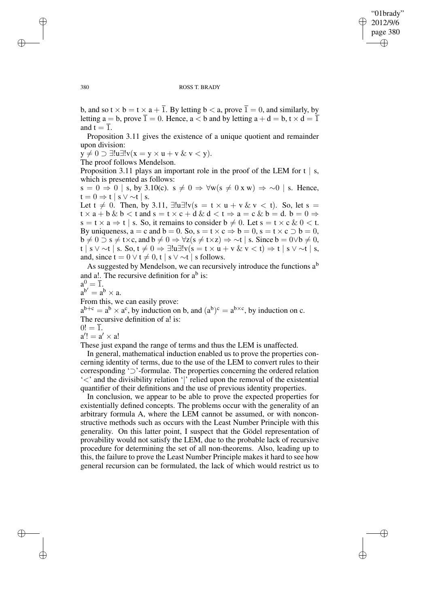✐

#### 380 ROSS T. BRADY

b, and so  $t \times b = t \times a + \overline{1}$ . By letting  $b < a$ , prove  $\overline{1} = 0$ , and similarly, by letting  $a = b$ , prove  $\overline{1} = 0$ . Hence,  $a < b$  and by letting  $a + d = b$ ,  $t \times d = \overline{1}$ and  $t = \overline{1}$ .

Proposition 3.11 gives the existence of a unique quotient and remainder upon division:

 $y \neq 0 \supset \exists !u \exists !v(x = y \times u + v \& v < y).$ 

The proof follows Mendelson.

Proposition 3.11 plays an important role in the proof of the LEM for  $t \mid s$ , which is presented as follows:

 $s = 0 \Rightarrow 0$  | s, by 3.10(c).  $s \neq 0 \Rightarrow \forall w (s \neq 0 \times w) \Rightarrow \sim 0$  | s. Hence,  $t = 0 \Rightarrow t \mid s \vee \sim t \mid s$ .

Let  $t \neq 0$ . Then, by 3.11,  $\exists !u \exists !v(s = t \times u + v \& v < t)$ . So, let s =  $t \times a + b \& b < t$  and  $s = t \times c + d \& d < t \Rightarrow a = c \& b = d$ .  $b = 0 \Rightarrow$  $s = t \times a \Rightarrow t \mid s$ . So, it remains to consider  $b \neq 0$ . Let  $s = t \times c \& 0 < t$ . By uniqueness,  $a = c$  and  $b = 0$ . So,  $s = t \times c \Rightarrow b = 0$ ,  $s = t \times c \supset b = 0$ ,  $b \neq 0 \supset s \neq t \times c$ , and  $b \neq 0 \Rightarrow \forall z (s \neq t \times z) \Rightarrow \sim t \mid s$ . Since  $b = 0 \lor b \neq 0$ , t | s ∨ ∼t | s. So,  $t \neq 0 \Rightarrow \exists !$ u $\exists ! v(s = t \times u + v \& v < t) \Rightarrow t | s \vee \sim t | s$ , and, since  $t = 0 \vee t \neq 0$ , t | s  $\vee \sim t$  | s follows.

As suggested by Mendelson, we can recursively introduce the functions  $a<sup>b</sup>$ and a!. The recursive definition for  $a^b$  is:

 $a^0 = \overline{1}.$ 

 $a^{b'} = a^b \times a$ .

From this, we can easily prove:

 $a^{b+c} = a^b \times a^c$ , by induction on b, and  $(a^b)^c = a^{b \times c}$ , by induction on c. The recursive definition of a! is:

 $0! = 1.$ 

 $a'!=a'\times a!$ 

These just expand the range of terms and thus the LEM is unaffected.

In general, mathematical induction enabled us to prove the properties concerning identity of terms, due to the use of the LEM to convert rules to their corresponding '⊃'-formulae. The properties concerning the ordered relation '<' and the divisibility relation '|' relied upon the removal of the existential quantifier of their definitions and the use of previous identity properties.

In conclusion, we appear to be able to prove the expected properties for existentially defined concepts. The problems occur with the generality of an arbitrary formula A, where the LEM cannot be assumed, or with nonconstructive methods such as occurs with the Least Number Principle with this generality. On this latter point, I suspect that the Gödel representation of provability would not satisfy the LEM, due to the probable lack of recursive procedure for determining the set of all non-theorems. Also, leading up to this, the failure to prove the Least Number Principle makes it hard to see how general recursion can be formulated, the lack of which would restrict us to

✐

✐

✐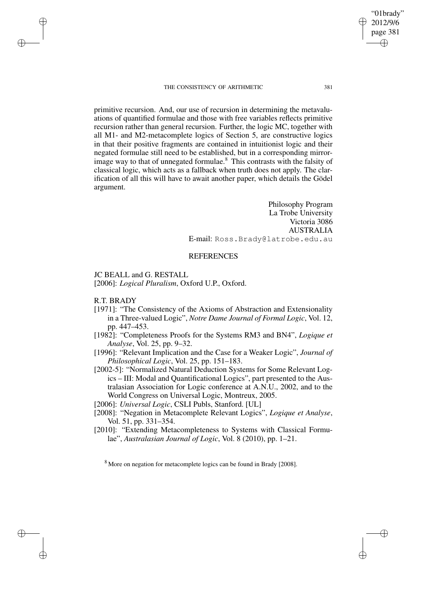#### THE CONSISTENCY OF ARITHMETIC 381

primitive recursion. And, our use of recursion in determining the metavaluations of quantified formulae and those with free variables reflects primitive recursion rather than general recursion. Further, the logic MC, together with all M1- and M2-metacomplete logics of Section 5, are constructive logics in that their positive fragments are contained in intuitionist logic and their negated formulae still need to be established, but in a corresponding mirrorimage way to that of unnegated formulae.<sup>8</sup> This contrasts with the falsity of classical logic, which acts as a fallback when truth does not apply. The clarification of all this will have to await another paper, which details the Gödel argument.

> Philosophy Program La Trobe University Victoria 3086 AUSTRALIA E-mail: Ross.Brady@latrobe.edu.au

# REFERENCES

JC BEALL and G. RESTALL

[2006]: *Logical Pluralism*, Oxford U.P., Oxford.

R.T. BRADY

✐

✐

✐

✐

- [1971]: "The Consistency of the Axioms of Abstraction and Extensionality in a Three-valued Logic", *Notre Dame Journal of Formal Logic*, Vol. 12, pp. 447–453.
- [1982]: "Completeness Proofs for the Systems RM3 and BN4", *Logique et Analyse*, Vol. 25, pp. 9–32.
- [1996]: "Relevant Implication and the Case for a Weaker Logic", *Journal of Philosophical Logic*, Vol. 25, pp. 151–183.
- [2002-5]: "Normalized Natural Deduction Systems for Some Relevant Logics – III: Modal and Quantificational Logics", part presented to the Australasian Association for Logic conference at A.N.U., 2002, and to the World Congress on Universal Logic, Montreux, 2005.

[2006]: *Universal Logic*, CSLI Publs, Stanford. [UL]

- [2008]: "Negation in Metacomplete Relevant Logics", *Logique et Analyse*, Vol. 51, pp. 331–354.
- [2010]: "Extending Metacompleteness to Systems with Classical Formulae", *Australasian Journal of Logic*, Vol. 8 (2010), pp. 1–21.

<sup>8</sup> More on negation for metacomplete logics can be found in Brady [2008].

"01brady" 2012/9/6 page 381

✐

✐

✐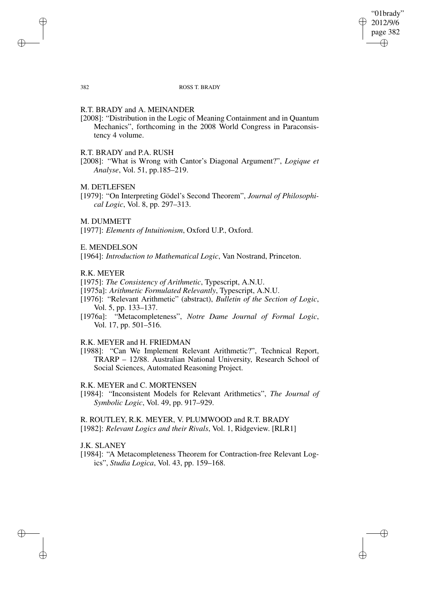"01brady" 2012/9/6 page 382 ✐ ✐

✐

#### 382 ROSS T. BRADY

# R.T. BRADY and A. MEINANDER

[2008]: "Distribution in the Logic of Meaning Containment and in Quantum Mechanics", forthcoming in the 2008 World Congress in Paraconsistency 4 volume.

# R.T. BRADY and P.A. RUSH

[2008]: "What is Wrong with Cantor's Diagonal Argument?", *Logique et Analyse*, Vol. 51, pp.185–219.

# M. DETLEFSEN

✐

✐

[1979]: "On Interpreting Gödel's Second Theorem", *Journal of Philosophical Logic*, Vol. 8, pp. 297–313.

### M. DUMMETT

[1977]: *Elements of Intuitionism*, Oxford U.P., Oxford.

# E. MENDELSON

[1964]: *Introduction to Mathematical Logic*, Van Nostrand, Princeton.

# R.K. MEYER

- [1975]: *The Consistency of Arithmetic*, Typescript, A.N.U.
- [1975a]: *Arithmetic Formulated Relevantly*, Typescript, A.N.U.
- [1976]: "Relevant Arithmetic" (abstract), *Bulletin of the Section of Logic*, Vol. 5, pp. 133–137.
- [1976a]: "Metacompleteness", *Notre Dame Journal of Formal Logic*, Vol. 17, pp. 501–516.

# R.K. MEYER and H. FRIEDMAN

[1988]: "Can We Implement Relevant Arithmetic?", Technical Report, TRARP – 12/88. Australian National University, Research School of Social Sciences, Automated Reasoning Project.

### R.K. MEYER and C. MORTENSEN

[1984]: "Inconsistent Models for Relevant Arithmetics", *The Journal of Symbolic Logic*, Vol. 49, pp. 917–929.

R. ROUTLEY, R.K. MEYER, V. PLUMWOOD and R.T. BRADY [1982]: *Relevant Logics and their Rivals*, Vol. 1, Ridgeview. [RLR1]

### J.K. SLANEY

✐

✐

[1984]: "A Metacompleteness Theorem for Contraction-free Relevant Logics", *Studia Logica*, Vol. 43, pp. 159–168.